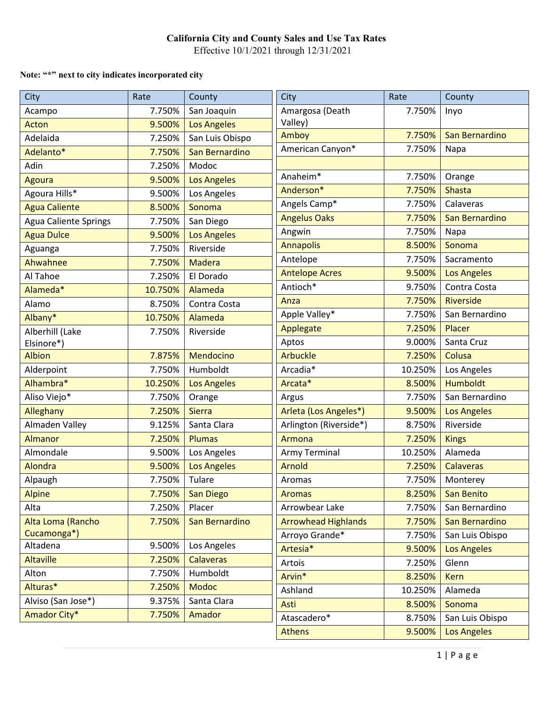Effective 10/1/2021 through 12/31/2021

### **Note: "\*" next to city indicates incorporated city**

| <b>City</b>                  | Rate    | County             | City                       | Rate    | County             |
|------------------------------|---------|--------------------|----------------------------|---------|--------------------|
| Acampo                       | 7.750%  | San Joaquin        | Amargosa (Death            | 7.750%  | Inyo               |
| Acton                        | 9.500%  | <b>Los Angeles</b> | Valley)                    |         |                    |
| Adelaida                     | 7.250%  | San Luis Obispo    | Amboy                      | 7.750%  | San Bernardino     |
| Adelanto*                    | 7.750%  | San Bernardino     | American Canyon*           | 7.750%  | Napa               |
| Adin                         | 7.250%  | Modoc              |                            |         |                    |
| <b>Agoura</b>                | 9.500%  | <b>Los Angeles</b> | Anaheim*                   | 7.750%  | Orange             |
| Agoura Hills*                | 9.500%  | Los Angeles        | Anderson*                  | 7.750%  | Shasta             |
| <b>Agua Caliente</b>         | 8.500%  | Sonoma             | Angels Camp*               | 7.750%  | Calaveras          |
| <b>Agua Caliente Springs</b> | 7.750%  | San Diego          | <b>Angelus Oaks</b>        | 7.750%  | San Bernardino     |
| <b>Agua Dulce</b>            | 9.500%  | <b>Los Angeles</b> | Angwin                     | 7.750%  | Napa               |
| Aguanga                      | 7.750%  | Riverside          | <b>Annapolis</b>           | 8.500%  | Sonoma             |
| Ahwahnee                     | 7.750%  | <b>Madera</b>      | Antelope                   | 7.750%  | Sacramento         |
| Al Tahoe                     | 7.250%  | El Dorado          | <b>Antelope Acres</b>      | 9.500%  | <b>Los Angeles</b> |
| Alameda*                     | 10.750% | Alameda            | Antioch*                   | 9.750%  | Contra Costa       |
| Alamo                        | 8.750%  | Contra Costa       | Anza                       | 7.750%  | Riverside          |
| Albany*                      | 10.750% | Alameda            | Apple Valley*              | 7.750%  | San Bernardino     |
| Alberhill (Lake              | 7.750%  | Riverside          | Applegate                  | 7.250%  | Placer             |
| Elsinore*)                   |         |                    | Aptos                      | 9.000%  | Santa Cruz         |
| <b>Albion</b>                | 7.875%  | Mendocino          | <b>Arbuckle</b>            | 7.250%  | Colusa             |
| Alderpoint                   | 7.750%  | Humboldt           | Arcadia*                   | 10.250% | Los Angeles        |
| Alhambra*                    | 10.250% | <b>Los Angeles</b> | Arcata*                    | 8.500%  | <b>Humboldt</b>    |
| Aliso Viejo*                 | 7.750%  | Orange             | Argus                      | 7.750%  | San Bernardino     |
| Alleghany                    | 7.250%  | <b>Sierra</b>      | Arleta (Los Angeles*)      | 9.500%  | <b>Los Angeles</b> |
| Almaden Valley               | 9.125%  | Santa Clara        | Arlington (Riverside*)     | 8.750%  | Riverside          |
| <b>Almanor</b>               | 7.250%  | <b>Plumas</b>      | Armona                     | 7.250%  | <b>Kings</b>       |
| Almondale                    | 9.500%  | Los Angeles        | <b>Army Terminal</b>       | 10.250% | Alameda            |
| Alondra                      | 9.500%  | <b>Los Angeles</b> | <b>Arnold</b>              | 7.250%  | <b>Calaveras</b>   |
| Alpaugh                      | 7.750%  | Tulare             | Aromas                     | 7.750%  | Monterey           |
| <b>Alpine</b>                | 7.750%  | San Diego          | <b>Aromas</b>              | 8.250%  | <b>San Benito</b>  |
| Alta                         | 7.250%  | Placer             | Arrowbear Lake             | 7.750%  | San Bernardino     |
| Alta Loma (Rancho            | 7.750%  | San Bernardino     | <b>Arrowhead Highlands</b> | 7.750%  | San Bernardino     |
| Cucamonga*)                  |         |                    | Arroyo Grande*             | 7.750%  | San Luis Obispo    |
| Altadena                     | 9.500%  | Los Angeles        | Artesia*                   | 9.500%  | <b>Los Angeles</b> |
| <b>Altaville</b>             | 7.250%  | <b>Calaveras</b>   | Artois                     | 7.250%  | Glenn              |
| Alton                        | 7.750%  | Humboldt           | Arvin*                     | 8.250%  | <b>Kern</b>        |
| Alturas*                     | 7.250%  | <b>Modoc</b>       | Ashland                    | 10.250% | Alameda            |
| Alviso (San Jose*)           | 9.375%  | Santa Clara        | Asti                       | 8.500%  | Sonoma             |
| Amador City*                 | 7.750%  | Amador             | Atascadero*                | 8.750%  | San Luis Obispo    |
|                              |         |                    | <b>Athens</b>              | 9.500%  | <b>Los Angeles</b> |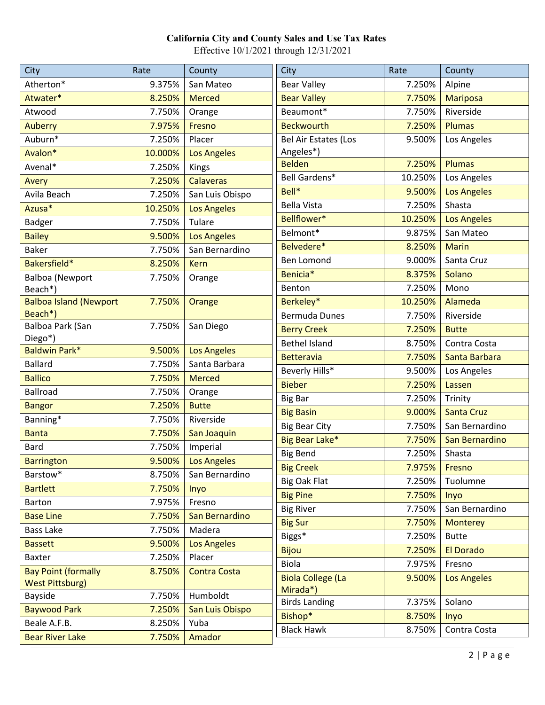| Atherton*<br>9.375%<br>San Mateo<br><b>Bear Valley</b><br>7.250%<br>Alpine<br>Atwater*<br><b>Bear Valley</b><br>8.250%<br><b>Merced</b><br>7.750%<br><b>Mariposa</b> |  |
|----------------------------------------------------------------------------------------------------------------------------------------------------------------------|--|
|                                                                                                                                                                      |  |
|                                                                                                                                                                      |  |
| Beaumont*<br>Atwood<br>7.750%<br>Riverside<br>7.750%<br>Orange                                                                                                       |  |
| <b>Beckwourth</b><br><b>Auberry</b><br>7.975%<br>7.250%<br><b>Plumas</b><br>Fresno                                                                                   |  |
| Auburn*<br>Bel Air Estates (Los<br>7.250%<br>Placer<br>9.500%<br>Los Angeles                                                                                         |  |
| Angeles*)<br>Avalon*<br>10.000%<br><b>Los Angeles</b>                                                                                                                |  |
| <b>Belden</b><br>7.250%<br><b>Plumas</b><br>Avenal*<br>7.250%<br><b>Kings</b>                                                                                        |  |
| Bell Gardens*<br>10.250%<br>Los Angeles<br>7.250%<br><b>Calaveras</b><br>Avery                                                                                       |  |
| Bell*<br>9.500%<br><b>Los Angeles</b><br>Avila Beach<br>7.250%<br>San Luis Obispo                                                                                    |  |
| Shasta<br><b>Bella Vista</b><br>7.250%<br>Azusa*<br>10.250%<br><b>Los Angeles</b>                                                                                    |  |
| Bellflower*<br>10.250%<br><b>Los Angeles</b><br>Badger<br>Tulare<br>7.750%                                                                                           |  |
| Belmont*<br>9.875%<br>San Mateo<br><b>Bailey</b><br>9.500%<br><b>Los Angeles</b>                                                                                     |  |
| Belvedere*<br><b>Marin</b><br>8.250%<br><b>Baker</b><br>7.750%<br>San Bernardino                                                                                     |  |
| <b>Ben Lomond</b><br>9.000%<br>Santa Cruz<br>Bakersfield*<br>8.250%<br><b>Kern</b>                                                                                   |  |
| Benicia*<br>8.375%<br>Solano<br><b>Balboa (Newport</b><br>7.750%<br>Orange                                                                                           |  |
| Mono<br>Benton<br>7.250%<br>Beach*)                                                                                                                                  |  |
| <b>Balboa Island (Newport</b><br>Berkeley*<br>Alameda<br>7.750%<br>10.250%<br>Orange                                                                                 |  |
| Beach*)<br>Riverside<br>Bermuda Dunes<br>7.750%                                                                                                                      |  |
| Balboa Park (San<br>7.750%<br>San Diego<br><b>Berry Creek</b><br>7.250%<br><b>Butte</b>                                                                              |  |
| Diego*)<br><b>Bethel Island</b><br>8.750%<br>Contra Costa<br><b>Baldwin Park*</b><br>9.500%<br><b>Los Angeles</b>                                                    |  |
| 7.750%<br><b>Betteravia</b><br>Santa Barbara<br><b>Ballard</b><br>Santa Barbara<br>7.750%                                                                            |  |
| Beverly Hills*<br>9.500%<br>Los Angeles<br><b>Ballico</b><br>7.750%<br><b>Merced</b>                                                                                 |  |
| <b>Bieber</b><br>7.250%<br>Lassen<br><b>Ballroad</b><br>7.750%<br>Orange                                                                                             |  |
| 7.250%<br><b>Big Bar</b><br>Trinity<br>7.250%<br><b>Butte</b><br><b>Bangor</b>                                                                                       |  |
| 9.000%<br><b>Big Basin</b><br><b>Santa Cruz</b><br>Banning*<br>7.750%<br>Riverside                                                                                   |  |
| <b>Big Bear City</b><br>7.750%<br>San Bernardino<br>7.750%<br><b>Banta</b><br>San Joaquin                                                                            |  |
| Big Bear Lake*<br>7.750%<br>San Bernardino<br>Imperial<br><b>Bard</b><br>7.750%                                                                                      |  |
| <b>Big Bend</b><br>7.250%<br>Shasta<br>9.500%<br><b>Barrington</b>                                                                                                   |  |
| <b>Los Angeles</b><br><b>Big Creek</b><br>7.975%<br>Fresno<br>Barstow*<br>8.750%<br>San Bernardino                                                                   |  |
| Big Oak Flat<br>7.250%<br>Tuolumne<br><b>Bartlett</b><br>7.750%                                                                                                      |  |
| Inyo<br><b>Big Pine</b><br>7.750%<br>Inyo<br><b>Barton</b><br>7.975%<br>Fresno                                                                                       |  |
| San Bernardino<br><b>Big River</b><br>7.750%<br>San Bernardino<br><b>Base Line</b><br>7.750%                                                                         |  |
| <b>Big Sur</b><br>7.750%<br><b>Monterey</b><br><b>Bass Lake</b><br>7.750%<br>Madera                                                                                  |  |
| Biggs*<br>7.250%<br><b>Butte</b><br>9.500%<br><b>Los Angeles</b>                                                                                                     |  |
| <b>Bassett</b><br><b>El Dorado</b><br><b>Bijou</b><br>7.250%                                                                                                         |  |
| 7.250%<br>Baxter<br>Placer<br>Biola<br>7.975%<br>Fresno                                                                                                              |  |
| <b>Bay Point (formally</b><br>8.750%<br><b>Contra Costa</b><br><b>Biola College (La</b><br>9.500%<br><b>Los Angeles</b><br><b>West Pittsburg)</b>                    |  |
| Mirada*)<br>Humboldt<br>Bayside<br>7.750%                                                                                                                            |  |
| <b>Birds Landing</b><br>7.375%<br>Solano<br><b>Baywood Park</b><br>7.250%<br>San Luis Obispo                                                                         |  |
| Bishop*<br>8.750%<br>Inyo<br>Beale A.F.B.<br>8.250%<br>Yuba                                                                                                          |  |
| <b>Black Hawk</b><br>Contra Costa<br>8.750%<br><b>Bear River Lake</b><br>7.750%<br>Amador                                                                            |  |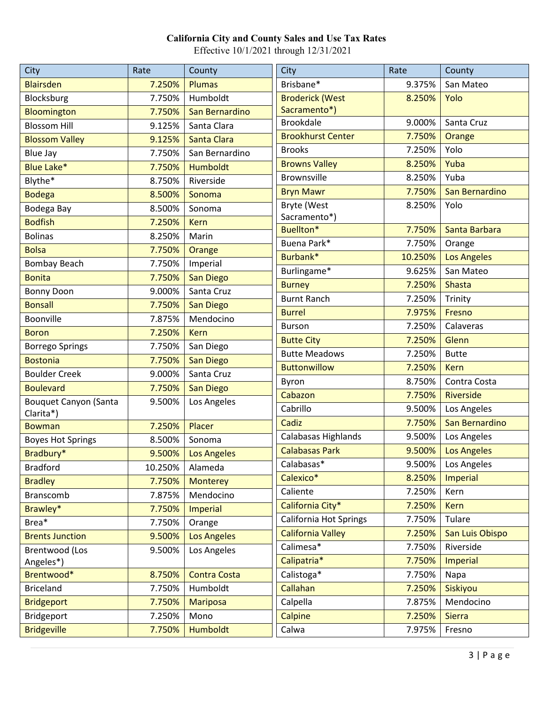| <b>City</b>                  | Rate    | County              | City                     | Rate    | County               |
|------------------------------|---------|---------------------|--------------------------|---------|----------------------|
| <b>Blairsden</b>             | 7.250%  | Plumas              | Brisbane*                | 9.375%  | San Mateo            |
| Blocksburg                   | 7.750%  | Humboldt            | <b>Broderick (West</b>   | 8.250%  | Yolo                 |
| Bloomington                  | 7.750%  | San Bernardino      | Sacramento*)             |         |                      |
| <b>Blossom Hill</b>          | 9.125%  | Santa Clara         | <b>Brookdale</b>         | 9.000%  | Santa Cruz           |
| <b>Blossom Valley</b>        | 9.125%  | Santa Clara         | <b>Brookhurst Center</b> | 7.750%  | Orange               |
| Blue Jay                     | 7.750%  | San Bernardino      | <b>Brooks</b>            | 7.250%  | Yolo                 |
| <b>Blue Lake*</b>            | 7.750%  | Humboldt            | <b>Browns Valley</b>     | 8.250%  | Yuba                 |
| Blythe*                      | 8.750%  | Riverside           | Brownsville              | 8.250%  | Yuba                 |
| <b>Bodega</b>                | 8.500%  | Sonoma              | <b>Bryn Mawr</b>         | 7.750%  | San Bernardino       |
| Bodega Bay                   | 8.500%  | Sonoma              | Bryte (West              | 8.250%  | Yolo                 |
| <b>Bodfish</b>               | 7.250%  | <b>Kern</b>         | Sacramento*)             |         |                      |
| <b>Bolinas</b>               | 8.250%  | Marin               | Buellton*                | 7.750%  | Santa Barbara        |
| <b>Bolsa</b>                 | 7.750%  | Orange              | Buena Park*              | 7.750%  | Orange               |
| <b>Bombay Beach</b>          | 7.750%  | Imperial            | Burbank*                 | 10.250% | <b>Los Angeles</b>   |
| <b>Bonita</b>                | 7.750%  | San Diego           | Burlingame*              | 9.625%  | San Mateo            |
| <b>Bonny Doon</b>            | 9.000%  | Santa Cruz          | <b>Burney</b>            | 7.250%  | <b>Shasta</b>        |
| <b>Bonsall</b>               | 7.750%  | <b>San Diego</b>    | <b>Burnt Ranch</b>       | 7.250%  | Trinity              |
| Boonville                    | 7.875%  | Mendocino           | <b>Burrel</b>            | 7.975%  | Fresno               |
| <b>Boron</b>                 | 7.250%  | <b>Kern</b>         | <b>Burson</b>            | 7.250%  | Calaveras            |
| <b>Borrego Springs</b>       | 7.750%  | San Diego           | <b>Butte City</b>        | 7.250%  | Glenn                |
| <b>Bostonia</b>              | 7.750%  | <b>San Diego</b>    | <b>Butte Meadows</b>     | 7.250%  | <b>Butte</b>         |
| <b>Boulder Creek</b>         | 9.000%  | Santa Cruz          | <b>Buttonwillow</b>      | 7.250%  | <b>Kern</b>          |
| <b>Boulevard</b>             | 7.750%  | <b>San Diego</b>    | Byron                    | 8.750%  | Contra Costa         |
| <b>Bouquet Canyon (Santa</b> | 9.500%  | Los Angeles         | Cabazon                  | 7.750%  | Riverside            |
| Clarita*)                    |         |                     | Cabrillo                 | 9.500%  | Los Angeles          |
| <b>Bowman</b>                | 7.250%  | Placer              | Cadiz                    | 7.750%  | San Bernardino       |
| <b>Boyes Hot Springs</b>     | 8.500%  | Sonoma              | Calabasas Highlands      | 9.500%  | Los Angeles          |
| Bradbury*                    | 9.500%  | <b>Los Angeles</b>  | <b>Calabasas Park</b>    | 9.500%  | <b>Los Angeles</b>   |
| <b>Bradford</b>              | 10.250% | Alameda             | Calabasas*               |         | 9.500%   Los Angeles |
| <b>Bradley</b>               | 7.750%  | <b>Monterey</b>     | Calexico*                | 8.250%  | <b>Imperial</b>      |
| Branscomb                    | 7.875%  | Mendocino           | Caliente                 | 7.250%  | Kern                 |
| Brawley*                     | 7.750%  | <b>Imperial</b>     | California City*         | 7.250%  | <b>Kern</b>          |
| Brea*                        | 7.750%  | Orange              | California Hot Springs   | 7.750%  | Tulare               |
| <b>Brents Junction</b>       | 9.500%  | <b>Los Angeles</b>  | <b>California Valley</b> | 7.250%  | San Luis Obispo      |
| Brentwood (Los               | 9.500%  | Los Angeles         | Calimesa*                | 7.750%  | Riverside            |
| Angeles*)                    |         |                     | Calipatria*              | 7.750%  | Imperial             |
| Brentwood*                   | 8.750%  | <b>Contra Costa</b> | Calistoga*               | 7.750%  | Napa                 |
| <b>Briceland</b>             | 7.750%  | Humboldt            | Callahan                 | 7.250%  | Siskiyou             |
| <b>Bridgeport</b>            | 7.750%  | <b>Mariposa</b>     | Calpella                 | 7.875%  | Mendocino            |
| Bridgeport                   | 7.250%  | Mono                | Calpine                  | 7.250%  | <b>Sierra</b>        |
| <b>Bridgeville</b>           | 7.750%  | <b>Humboldt</b>     | Calwa                    | 7.975%  | Fresno               |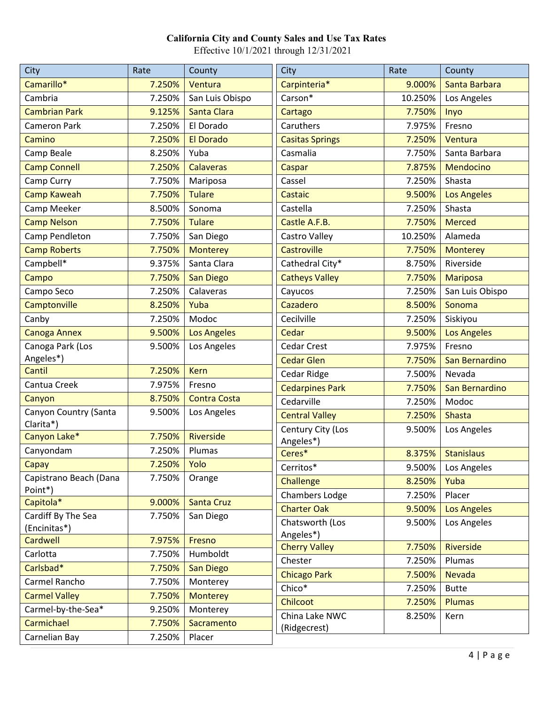| City                              | Rate             | County              | City                           | Rate    | County             |
|-----------------------------------|------------------|---------------------|--------------------------------|---------|--------------------|
| Camarillo*                        | 7.250%           | Ventura             | Carpinteria*                   | 9.000%  | Santa Barbara      |
| Cambria                           | 7.250%           | San Luis Obispo     | Carson*                        | 10.250% | Los Angeles        |
| <b>Cambrian Park</b>              | 9.125%           | Santa Clara         | Cartago                        | 7.750%  | Inyo               |
| <b>Cameron Park</b>               | 7.250%           | El Dorado           | Caruthers                      | 7.975%  | Fresno             |
| Camino                            | 7.250%           | <b>El Dorado</b>    | <b>Casitas Springs</b>         | 7.250%  | Ventura            |
| Camp Beale                        | 8.250%           | Yuba                | Casmalia                       | 7.750%  | Santa Barbara      |
| <b>Camp Connell</b>               | 7.250%           | <b>Calaveras</b>    | Caspar                         | 7.875%  | Mendocino          |
| Camp Curry                        | 7.750%           | Mariposa            | Cassel                         | 7.250%  | Shasta             |
| <b>Camp Kaweah</b>                | 7.750%           | <b>Tulare</b>       | <b>Castaic</b>                 | 9.500%  | <b>Los Angeles</b> |
| Camp Meeker                       | 8.500%           | Sonoma              | Castella                       | 7.250%  | Shasta             |
| <b>Camp Nelson</b>                | 7.750%           | <b>Tulare</b>       | Castle A.F.B.                  | 7.750%  | <b>Merced</b>      |
| Camp Pendleton                    | 7.750%           | San Diego           | Castro Valley                  | 10.250% | Alameda            |
| <b>Camp Roberts</b>               | 7.750%           | <b>Monterey</b>     | Castroville                    | 7.750%  | <b>Monterey</b>    |
| Campbell*                         | 9.375%           | Santa Clara         | Cathedral City*                | 8.750%  | Riverside          |
| Campo                             | 7.750%           | <b>San Diego</b>    | <b>Catheys Valley</b>          | 7.750%  | <b>Mariposa</b>    |
| Campo Seco                        | 7.250%           | Calaveras           | Cayucos                        | 7.250%  | San Luis Obispo    |
| Camptonville                      | 8.250%           | Yuba                | Cazadero                       | 8.500%  | Sonoma             |
| Canby                             | 7.250%           | Modoc               | Cecilville                     | 7.250%  | Siskiyou           |
| <b>Canoga Annex</b>               | 9.500%           | <b>Los Angeles</b>  | Cedar                          | 9.500%  | <b>Los Angeles</b> |
| Canoga Park (Los                  | 9.500%           | Los Angeles         | <b>Cedar Crest</b>             | 7.975%  | Fresno             |
| Angeles*)                         |                  |                     | <b>Cedar Glen</b>              | 7.750%  | San Bernardino     |
| Cantil                            | 7.250%           | <b>Kern</b>         | Cedar Ridge                    | 7.500%  | Nevada             |
| Cantua Creek                      | 7.975%           | Fresno              | <b>Cedarpines Park</b>         | 7.750%  | San Bernardino     |
| Canyon                            | 8.750%           | <b>Contra Costa</b> | Cedarville                     | 7.250%  | Modoc              |
| Canyon Country (Santa             | 9.500%           | Los Angeles         | <b>Central Valley</b>          | 7.250%  | <b>Shasta</b>      |
| Clarita*)<br>Canyon Lake*         | 7.750%           | Riverside           | Century City (Los              | 9.500%  | Los Angeles        |
|                                   |                  | Plumas              | Angeles*)                      |         |                    |
| Canyondam<br>Capay                | 7.250%<br>7.250% | Yolo                | Ceres*                         | 8.375%  | <b>Stanislaus</b>  |
|                                   |                  |                     | Cerritos*                      | 9.500%  | Los Angeles        |
| Capistrano Beach (Dana<br>Point*) | 7.750%           | Orange              | Challenge                      | 8.250%  | Yuba               |
| Capitola*                         | 9.000%           | Santa Cruz          | <b>Chambers Lodge</b>          | 7.250%  | Placer             |
| Cardiff By The Sea                | 7.750%           | San Diego           | <b>Charter Oak</b>             | 9.500%  | <b>Los Angeles</b> |
| (Encinitas*)                      |                  |                     | Chatsworth (Los                | 9.500%  | Los Angeles        |
| Cardwell                          | 7.975%           | Fresno              | Angeles*)                      |         |                    |
| Carlotta                          | 7.750%           | Humboldt            | <b>Cherry Valley</b>           | 7.750%  | Riverside          |
| Carlsbad*                         | 7.750%           | San Diego           | Chester                        | 7.250%  | Plumas             |
| Carmel Rancho                     | 7.750%           | Monterey            | <b>Chicago Park</b>            | 7.500%  | <b>Nevada</b>      |
| <b>Carmel Valley</b>              | 7.750%           | <b>Monterey</b>     | Chico*                         | 7.250%  | <b>Butte</b>       |
| Carmel-by-the-Sea*                | 9.250%           | Monterey            | Chilcoot                       | 7.250%  | <b>Plumas</b>      |
| Carmichael                        | 7.750%           | Sacramento          | China Lake NWC<br>(Ridgecrest) | 8.250%  | Kern               |
| Carnelian Bay                     | 7.250%           | Placer              |                                |         |                    |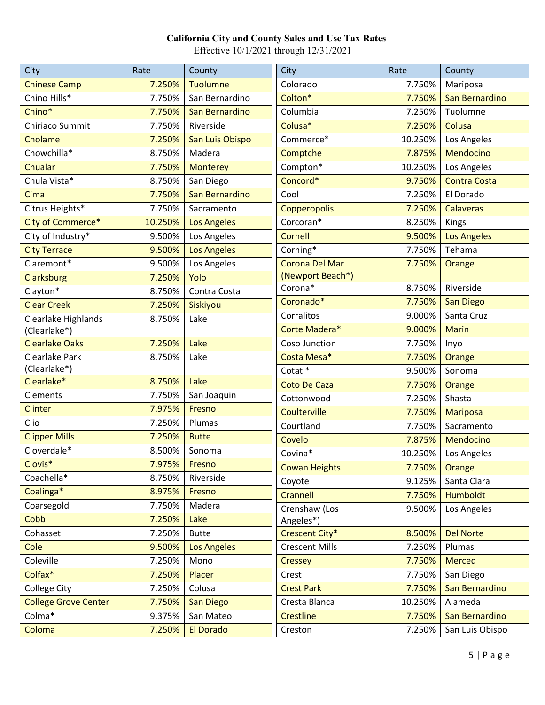| City                        | Rate    | County             | City                  | Rate    | County              |
|-----------------------------|---------|--------------------|-----------------------|---------|---------------------|
| <b>Chinese Camp</b>         | 7.250%  | <b>Tuolumne</b>    | Colorado              | 7.750%  | Mariposa            |
| Chino Hills*                | 7.750%  | San Bernardino     | Colton*               | 7.750%  | San Bernardino      |
| Chino*                      | 7.750%  | San Bernardino     | Columbia              | 7.250%  | Tuolumne            |
| Chiriaco Summit             | 7.750%  | Riverside          | Colusa*               | 7.250%  | Colusa              |
| Cholame                     | 7.250%  | San Luis Obispo    | Commerce*             | 10.250% | Los Angeles         |
| Chowchilla*                 | 8.750%  | Madera             | Comptche              | 7.875%  | Mendocino           |
| Chualar                     | 7.750%  | <b>Monterey</b>    | Compton*              | 10.250% | Los Angeles         |
| Chula Vista*                | 8.750%  | San Diego          | Concord*              | 9.750%  | <b>Contra Costa</b> |
| Cima                        | 7.750%  | San Bernardino     | Cool                  | 7.250%  | El Dorado           |
| Citrus Heights*             | 7.750%  | Sacramento         | Copperopolis          | 7.250%  | <b>Calaveras</b>    |
| City of Commerce*           | 10.250% | <b>Los Angeles</b> | Corcoran*             | 8.250%  | Kings               |
| City of Industry*           | 9.500%  | Los Angeles        | <b>Cornell</b>        | 9.500%  | <b>Los Angeles</b>  |
| <b>City Terrace</b>         | 9.500%  | <b>Los Angeles</b> | Corning*              | 7.750%  | Tehama              |
| Claremont*                  | 9.500%  | Los Angeles        | <b>Corona Del Mar</b> | 7.750%  | Orange              |
| <b>Clarksburg</b>           | 7.250%  | Yolo               | (Newport Beach*)      |         |                     |
| Clayton*                    | 8.750%  | Contra Costa       | Corona*               | 8.750%  | Riverside           |
| <b>Clear Creek</b>          | 7.250%  | Siskiyou           | Coronado*             | 7.750%  | <b>San Diego</b>    |
| Clearlake Highlands         | 8.750%  | Lake               | Corralitos            | 9.000%  | Santa Cruz          |
| (Clearlake*)                |         |                    | Corte Madera*         | 9.000%  | <b>Marin</b>        |
| <b>Clearlake Oaks</b>       | 7.250%  | Lake               | Coso Junction         | 7.750%  | Inyo                |
| Clearlake Park              | 8.750%  | Lake               | Costa Mesa*           | 7.750%  | Orange              |
| (Clearlake*)                |         |                    | Cotati*               | 9.500%  | Sonoma              |
| Clearlake*                  | 8.750%  | Lake               | <b>Coto De Caza</b>   | 7.750%  | Orange              |
| Clements                    | 7.750%  | San Joaquin        | Cottonwood            | 7.250%  | Shasta              |
| Clinter                     | 7.975%  | Fresno             | Coulterville          | 7.750%  | <b>Mariposa</b>     |
| Clio                        | 7.250%  | Plumas             | Courtland             | 7.750%  | Sacramento          |
| <b>Clipper Mills</b>        | 7.250%  | <b>Butte</b>       | Covelo                | 7.875%  | Mendocino           |
| Cloverdale*                 | 8.500%  | Sonoma             | Covina*               | 10.250% | Los Angeles         |
| Clovis*                     | 7.975%  | Fresno             | <b>Cowan Heights</b>  | 7.750%  | Orange              |
| Coachella*                  | 8.750%  | Riverside          | Coyote                | 9.125%  | Santa Clara         |
| Coalinga*                   | 8.975%  | Fresno             | Crannell              | 7.750%  | <b>Humboldt</b>     |
| Coarsegold                  | 7.750%  | Madera             | Crenshaw (Los         | 9.500%  | Los Angeles         |
| Cobb                        | 7.250%  | Lake               | Angeles*)             |         |                     |
| Cohasset                    | 7.250%  | <b>Butte</b>       | Crescent City*        | 8.500%  | <b>Del Norte</b>    |
| Cole                        | 9.500%  | <b>Los Angeles</b> | <b>Crescent Mills</b> | 7.250%  | Plumas              |
| Coleville                   | 7.250%  | Mono               | <b>Cressey</b>        | 7.750%  | <b>Merced</b>       |
| Colfax*                     | 7.250%  | Placer             | Crest                 | 7.750%  | San Diego           |
| College City                | 7.250%  | Colusa             | <b>Crest Park</b>     | 7.750%  | San Bernardino      |
| <b>College Grove Center</b> | 7.750%  | San Diego          | Cresta Blanca         | 10.250% | Alameda             |
| Colma*                      | 9.375%  | San Mateo          | <b>Crestline</b>      | 7.750%  | San Bernardino      |
| Coloma                      | 7.250%  | <b>El Dorado</b>   | Creston               | 7.250%  | San Luis Obispo     |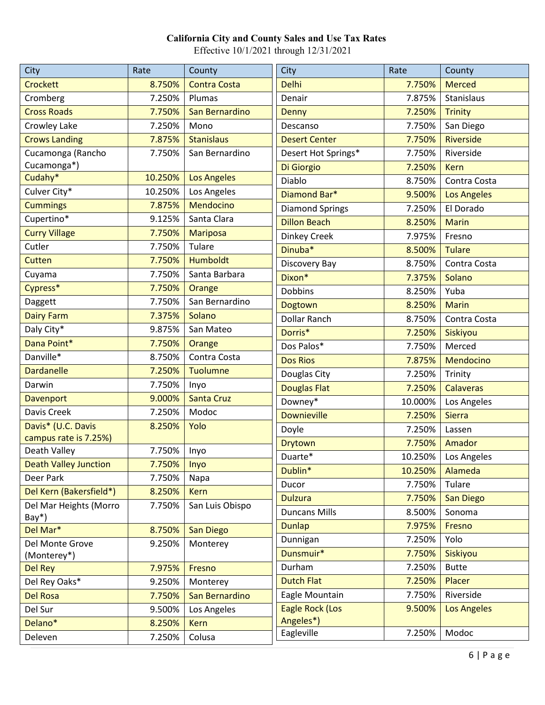| City                         | Rate          | County              | City                   | Rate    | County             |
|------------------------------|---------------|---------------------|------------------------|---------|--------------------|
| Crockett                     | 8.750%        | <b>Contra Costa</b> | <b>Delhi</b>           | 7.750%  | <b>Merced</b>      |
| Cromberg                     | 7.250%        | Plumas              | Denair                 | 7.875%  | Stanislaus         |
| <b>Cross Roads</b>           | 7.750%        | San Bernardino      | <b>Denny</b>           | 7.250%  | <b>Trinity</b>     |
| Crowley Lake                 | 7.250%        | Mono                | Descanso               | 7.750%  | San Diego          |
| <b>Crows Landing</b>         | 7.875%        | <b>Stanislaus</b>   | <b>Desert Center</b>   | 7.750%  | Riverside          |
| Cucamonga (Rancho            | 7.750%        | San Bernardino      | Desert Hot Springs*    | 7.750%  | Riverside          |
| Cucamonga*)                  |               |                     | Di Giorgio             | 7.250%  | <b>Kern</b>        |
| Cudahy*                      | 10.250%       | <b>Los Angeles</b>  | Diablo                 | 8.750%  | Contra Costa       |
| Culver City*                 | 10.250%       | Los Angeles         | Diamond Bar*           | 9.500%  | <b>Los Angeles</b> |
| <b>Cummings</b>              | 7.875%        | Mendocino           | <b>Diamond Springs</b> | 7.250%  | El Dorado          |
| Cupertino*                   | 9.125%        | Santa Clara         | <b>Dillon Beach</b>    | 8.250%  | <b>Marin</b>       |
| <b>Curry Village</b>         | 7.750%        | <b>Mariposa</b>     | Dinkey Creek           | 7.975%  | Fresno             |
| Cutler                       | 7.750%        | Tulare              | Dinuba <sup>*</sup>    | 8.500%  | <b>Tulare</b>      |
| Cutten                       | 7.750%        | <b>Humboldt</b>     | Discovery Bay          | 8.750%  | Contra Costa       |
| Cuyama                       | 7.750%        | Santa Barbara       | Dixon*                 | 7.375%  | Solano             |
| Cypress*                     | 7.750%        | Orange              | <b>Dobbins</b>         | 8.250%  | Yuba               |
| Daggett                      | 7.750%        | San Bernardino      | Dogtown                | 8.250%  | <b>Marin</b>       |
| <b>Dairy Farm</b>            | 7.375%        | Solano              | <b>Dollar Ranch</b>    | 8.750%  | Contra Costa       |
| Daly City*                   | 9.875%        | San Mateo           | Dorris*                | 7.250%  | Siskiyou           |
| Dana Point*                  | 7.750%        | Orange              | Dos Palos*             | 7.750%  | Merced             |
| Danville*                    | 8.750%        | Contra Costa        | <b>Dos Rios</b>        | 7.875%  | Mendocino          |
| <b>Dardanelle</b>            | 7.250%        | <b>Tuolumne</b>     | Douglas City           | 7.250%  | Trinity            |
| Darwin                       | 7.750%        | Inyo                | <b>Douglas Flat</b>    | 7.250%  | <b>Calaveras</b>   |
| Davenport                    | 9.000%        | <b>Santa Cruz</b>   | Downey*                | 10.000% | Los Angeles        |
| Davis Creek                  | 7.250%        | Modoc               | <b>Downieville</b>     | 7.250%  | <b>Sierra</b>      |
| Davis* (U.C. Davis           | 8.250%        | Yolo                | Doyle                  | 7.250%  | Lassen             |
| campus rate is 7.25%)        |               |                     | <b>Drytown</b>         | 7.750%  | Amador             |
| Death Valley                 | 7.750%        | Inyo                | Duarte*                | 10.250% | Los Angeles        |
| <b>Death Valley Junction</b> | 7.750%   Inyo |                     | Dublin*                | 10.250% | Alameda            |
| Deer Park                    | 7.750%        | Napa                | Ducor                  | 7.750%  | Tulare             |
| Del Kern (Bakersfield*)      | 8.250%        | <b>Kern</b>         | <b>Dulzura</b>         | 7.750%  | <b>San Diego</b>   |
| Del Mar Heights (Morro       | 7.750%        | San Luis Obispo     | <b>Duncans Mills</b>   | 8.500%  | Sonoma             |
| $Bay*$ )<br>Del Mar*         | 8.750%        | San Diego           | <b>Dunlap</b>          | 7.975%  | Fresno             |
| Del Monte Grove              | 9.250%        | Monterey            | Dunnigan               | 7.250%  | Yolo               |
| (Monterey*)                  |               |                     | Dunsmuir*              | 7.750%  | Siskiyou           |
| <b>Del Rey</b>               | 7.975%        | Fresno              | Durham                 | 7.250%  | <b>Butte</b>       |
| Del Rey Oaks*                | 9.250%        | Monterey            | <b>Dutch Flat</b>      | 7.250%  | Placer             |
| <b>Del Rosa</b>              | 7.750%        | San Bernardino      | Eagle Mountain         | 7.750%  | Riverside          |
| Del Sur                      | 9.500%        | Los Angeles         | <b>Eagle Rock (Los</b> | 9.500%  | <b>Los Angeles</b> |
| Delano*                      | 8.250%        | <b>Kern</b>         | Angeles*)              |         |                    |
| Deleven                      | 7.250%        | Colusa              | Eagleville             | 7.250%  | Modoc              |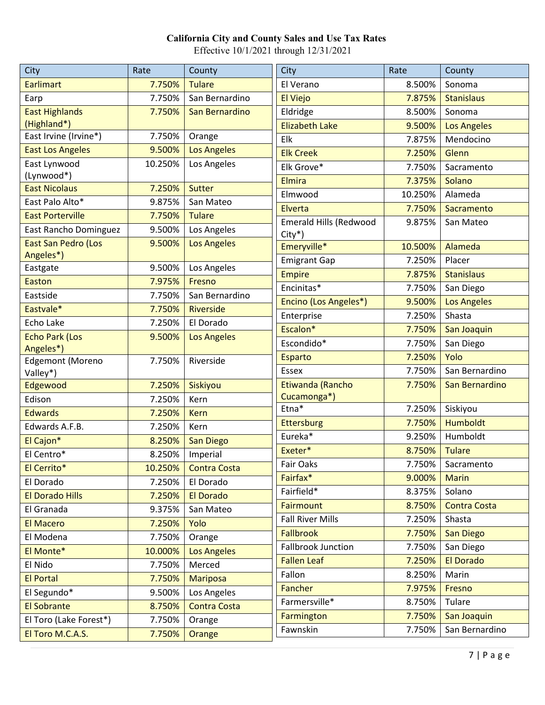| <b>City</b>                        | Rate    | County              | City                          | Rate    | County              |
|------------------------------------|---------|---------------------|-------------------------------|---------|---------------------|
| <b>Earlimart</b>                   | 7.750%  | <b>Tulare</b>       | El Verano                     | 8.500%  | Sonoma              |
| Earp                               | 7.750%  | San Bernardino      | El Viejo                      | 7.875%  | <b>Stanislaus</b>   |
| <b>East Highlands</b>              | 7.750%  | San Bernardino      | Eldridge                      | 8.500%  | Sonoma              |
| (Highland*)                        |         |                     | <b>Elizabeth Lake</b>         | 9.500%  | <b>Los Angeles</b>  |
| East Irvine (Irvine*)              | 7.750%  | Orange              | Elk                           | 7.875%  | Mendocino           |
| <b>East Los Angeles</b>            | 9.500%  | <b>Los Angeles</b>  | <b>Elk Creek</b>              | 7.250%  | Glenn               |
| East Lynwood                       | 10.250% | Los Angeles         | Elk Grove*                    | 7.750%  | Sacramento          |
| (Lynwood*)                         |         |                     | <b>Elmira</b>                 | 7.375%  | Solano              |
| <b>East Nicolaus</b>               | 7.250%  | Sutter              | Elmwood                       | 10.250% | Alameda             |
| East Palo Alto*                    | 9.875%  | San Mateo           | Elverta                       | 7.750%  | Sacramento          |
| <b>East Porterville</b>            | 7.750%  | <b>Tulare</b>       | <b>Emerald Hills (Redwood</b> | 9.875%  | San Mateo           |
| East Rancho Dominguez              | 9.500%  | Los Angeles         | City*)                        |         |                     |
| <b>East San Pedro (Los</b>         | 9.500%  | <b>Los Angeles</b>  | Emeryville*                   | 10.500% | Alameda             |
| Angeles*)<br>Eastgate              | 9.500%  | Los Angeles         | <b>Emigrant Gap</b>           | 7.250%  | Placer              |
| Easton                             | 7.975%  | Fresno              | <b>Empire</b>                 | 7.875%  | <b>Stanislaus</b>   |
| Eastside                           | 7.750%  | San Bernardino      | Encinitas*                    | 7.750%  | San Diego           |
| Eastvale*                          | 7.750%  | Riverside           | Encino (Los Angeles*)         | 9.500%  | <b>Los Angeles</b>  |
| Echo Lake                          | 7.250%  | El Dorado           | Enterprise                    | 7.250%  | Shasta              |
|                                    |         |                     | Escalon*                      | 7.750%  | San Joaquin         |
| <b>Echo Park (Los</b><br>Angeles*) | 9.500%  | <b>Los Angeles</b>  | Escondido*                    | 7.750%  | San Diego           |
| <b>Edgemont (Moreno</b>            | 7.750%  | Riverside           | <b>Esparto</b>                | 7.250%  | Yolo                |
| Valley*)                           |         |                     | <b>Essex</b>                  | 7.750%  | San Bernardino      |
| Edgewood                           | 7.250%  | Siskiyou            | Etiwanda (Rancho              | 7.750%  | San Bernardino      |
| Edison                             | 7.250%  | Kern                | Cucamonga*)                   |         |                     |
| <b>Edwards</b>                     | 7.250%  | <b>Kern</b>         | Etna*                         | 7.250%  | Siskiyou            |
| Edwards A.F.B.                     | 7.250%  | Kern                | <b>Ettersburg</b>             | 7.750%  | <b>Humboldt</b>     |
| El Cajon*                          | 8.250%  | San Diego           | Eureka*                       | 9.250%  | Humboldt            |
| El Centro*                         | 8.250%  | Imperial            | Exeter*                       | 8.750%  | <b>Tulare</b>       |
| El Cerrito*                        | 10.250% | <b>Contra Costa</b> | Fair Oaks                     |         | 7.750%   Sacramento |
| El Dorado                          | 7.250%  | El Dorado           | Fairfax*                      | 9.000%  | <b>Marin</b>        |
| <b>El Dorado Hills</b>             | 7.250%  | <b>El Dorado</b>    | Fairfield*                    | 8.375%  | Solano              |
| El Granada                         | 9.375%  | San Mateo           | <b>Fairmount</b>              | 8.750%  | <b>Contra Costa</b> |
| <b>El Macero</b>                   | 7.250%  | Yolo                | <b>Fall River Mills</b>       | 7.250%  | Shasta              |
| El Modena                          | 7.750%  | Orange              | <b>Fallbrook</b>              | 7.750%  | <b>San Diego</b>    |
| El Monte*                          | 10.000% | <b>Los Angeles</b>  | Fallbrook Junction            | 7.750%  | San Diego           |
| El Nido                            | 7.750%  | Merced              | <b>Fallen Leaf</b>            | 7.250%  | <b>El Dorado</b>    |
| <b>El Portal</b>                   | 7.750%  | <b>Mariposa</b>     | Fallon                        | 8.250%  | Marin               |
| El Segundo*                        | 9.500%  | Los Angeles         | Fancher                       | 7.975%  | Fresno              |
| <b>El Sobrante</b>                 | 8.750%  | <b>Contra Costa</b> | Farmersville*                 | 8.750%  | Tulare              |
| El Toro (Lake Forest*)             | 7.750%  | Orange              | Farmington                    | 7.750%  | San Joaquin         |
| El Toro M.C.A.S.                   | 7.750%  | Orange              | Fawnskin                      | 7.750%  | San Bernardino      |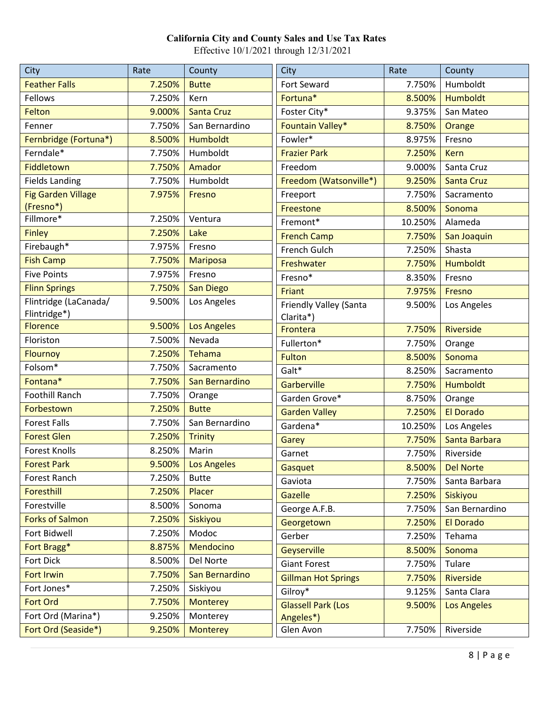| City                                  | Rate   | County               | City                                | Rate    | County             |
|---------------------------------------|--------|----------------------|-------------------------------------|---------|--------------------|
| <b>Feather Falls</b>                  | 7.250% | <b>Butte</b>         | Fort Seward                         | 7.750%  | Humboldt           |
| Fellows                               | 7.250% | Kern                 | Fortuna*                            | 8.500%  | <b>Humboldt</b>    |
| Felton                                | 9.000% | <b>Santa Cruz</b>    | Foster City*                        | 9.375%  | San Mateo          |
| Fenner                                | 7.750% | San Bernardino       | Fountain Valley*                    | 8.750%  | Orange             |
| Fernbridge (Fortuna*)                 | 8.500% | Humboldt             | Fowler*                             | 8.975%  | Fresno             |
| Ferndale*                             | 7.750% | Humboldt             | <b>Frazier Park</b>                 | 7.250%  | <b>Kern</b>        |
| Fiddletown                            | 7.750% | Amador               | Freedom                             | 9.000%  | Santa Cruz         |
| <b>Fields Landing</b>                 | 7.750% | Humboldt             | Freedom (Watsonville*)              | 9.250%  | <b>Santa Cruz</b>  |
| <b>Fig Garden Village</b>             | 7.975% | Fresno               | Freeport                            | 7.750%  | Sacramento         |
| (Fresno*)                             |        |                      | Freestone                           | 8.500%  | Sonoma             |
| Fillmore*                             | 7.250% | Ventura              | Fremont*                            | 10.250% | Alameda            |
| <b>Finley</b>                         | 7.250% | Lake                 | <b>French Camp</b>                  | 7.750%  | San Joaquin        |
| Firebaugh*                            | 7.975% | Fresno               | French Gulch                        | 7.250%  | Shasta             |
| <b>Fish Camp</b>                      | 7.750% | <b>Mariposa</b>      | Freshwater                          | 7.750%  | <b>Humboldt</b>    |
| <b>Five Points</b>                    | 7.975% | Fresno               | Fresno*                             | 8.350%  | Fresno             |
| <b>Flinn Springs</b>                  | 7.750% | <b>San Diego</b>     | Friant                              | 7.975%  | Fresno             |
| Flintridge (LaCanada/<br>Flintridge*) | 9.500% | Los Angeles          | Friendly Valley (Santa<br>Clarita*) | 9.500%  | Los Angeles        |
| <b>Florence</b>                       | 9.500% | <b>Los Angeles</b>   | Frontera                            | 7.750%  | Riverside          |
| Floriston                             | 7.500% | Nevada               | Fullerton*                          | 7.750%  | Orange             |
| <b>Flournoy</b>                       | 7.250% | Tehama               | <b>Fulton</b>                       | 8.500%  | Sonoma             |
| Folsom*                               | 7.750% | Sacramento           | Galt*                               | 8.250%  | Sacramento         |
| Fontana*                              | 7.750% | San Bernardino       | Garberville                         | 7.750%  | Humboldt           |
| <b>Foothill Ranch</b>                 | 7.750% | Orange               | Garden Grove*                       | 8.750%  | Orange             |
| Forbestown                            | 7.250% | <b>Butte</b>         | <b>Garden Valley</b>                | 7.250%  | <b>El Dorado</b>   |
| <b>Forest Falls</b>                   | 7.750% | San Bernardino       | Gardena*                            | 10.250% | Los Angeles        |
| <b>Forest Glen</b>                    | 7.250% | <b>Trinity</b>       | Garey                               | 7.750%  | Santa Barbara      |
| <b>Forest Knolls</b>                  | 8.250% | Marin                | Garnet                              | 7.750%  | Riverside          |
| <b>Forest Park</b>                    |        | 9.500%   Los Angeles | Gasquet                             | 8.500%  | <b>Del Norte</b>   |
| Forest Ranch                          | 7.250% | <b>Butte</b>         | Gaviota                             | 7.750%  | Santa Barbara      |
| Foresthill                            | 7.250% | Placer               | <b>Gazelle</b>                      | 7.250%  | Siskiyou           |
| Forestville                           | 8.500% | Sonoma               | George A.F.B.                       | 7.750%  | San Bernardino     |
| <b>Forks of Salmon</b>                | 7.250% | Siskiyou             | Georgetown                          | 7.250%  | <b>El Dorado</b>   |
| Fort Bidwell                          | 7.250% | Modoc                | Gerber                              | 7.250%  | Tehama             |
| Fort Bragg*                           | 8.875% | Mendocino            | Geyserville                         | 8.500%  | Sonoma             |
| Fort Dick                             | 8.500% | Del Norte            | <b>Giant Forest</b>                 | 7.750%  | Tulare             |
| <b>Fort Irwin</b>                     | 7.750% | San Bernardino       | <b>Gillman Hot Springs</b>          | 7.750%  | Riverside          |
| Fort Jones*                           | 7.250% | Siskiyou             | Gilroy*                             | 9.125%  | Santa Clara        |
| <b>Fort Ord</b>                       | 7.750% | <b>Monterey</b>      | <b>Glassell Park (Los</b>           | 9.500%  | <b>Los Angeles</b> |
| Fort Ord (Marina*)                    | 9.250% | Monterey             | Angeles*)                           |         |                    |
| Fort Ord (Seaside*)                   | 9.250% | <b>Monterey</b>      | Glen Avon                           | 7.750%  | Riverside          |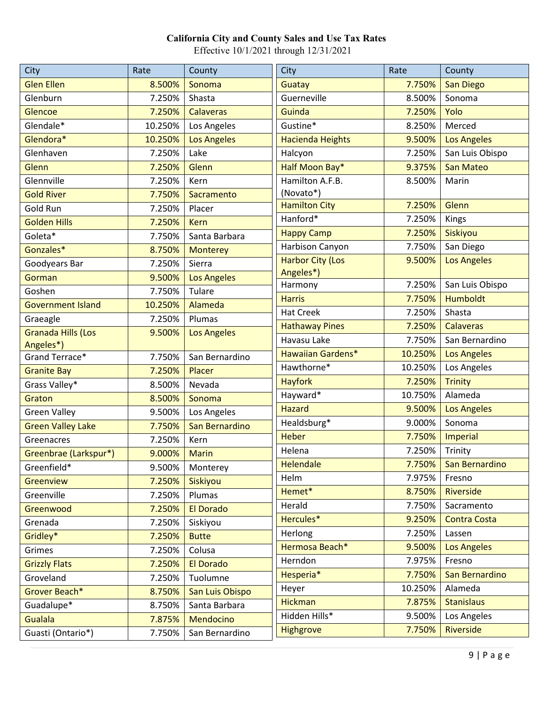| City                      | Rate    | County             | City                     | Rate    | County              |
|---------------------------|---------|--------------------|--------------------------|---------|---------------------|
| <b>Glen Ellen</b>         | 8.500%  | Sonoma             | Guatay                   | 7.750%  | <b>San Diego</b>    |
| Glenburn                  | 7.250%  | Shasta             | Guerneville              | 8.500%  | Sonoma              |
| Glencoe                   | 7.250%  | <b>Calaveras</b>   | Guinda                   | 7.250%  | Yolo                |
| Glendale*                 | 10.250% | Los Angeles        | Gustine*                 | 8.250%  | Merced              |
| Glendora*                 | 10.250% | <b>Los Angeles</b> | <b>Hacienda Heights</b>  | 9.500%  | <b>Los Angeles</b>  |
| Glenhaven                 | 7.250%  | Lake               | Halcyon                  | 7.250%  | San Luis Obispo     |
| Glenn                     | 7.250%  | Glenn              | Half Moon Bay*           | 9.375%  | <b>San Mateo</b>    |
| Glennville                | 7.250%  | Kern               | Hamilton A.F.B.          | 8.500%  | Marin               |
| <b>Gold River</b>         | 7.750%  | Sacramento         | (Novato*)                |         |                     |
| Gold Run                  | 7.250%  | Placer             | <b>Hamilton City</b>     | 7.250%  | Glenn               |
| <b>Golden Hills</b>       | 7.250%  | <b>Kern</b>        | Hanford*                 | 7.250%  | Kings               |
| Goleta*                   | 7.750%  | Santa Barbara      | <b>Happy Camp</b>        | 7.250%  | Siskiyou            |
| Gonzales*                 | 8.750%  | <b>Monterey</b>    | Harbison Canyon          | 7.750%  | San Diego           |
| Goodyears Bar             | 7.250%  | Sierra             | <b>Harbor City (Los</b>  | 9.500%  | <b>Los Angeles</b>  |
| Gorman                    | 9.500%  | <b>Los Angeles</b> | Angeles*)                |         |                     |
| Goshen                    | 7.750%  | Tulare             | Harmony                  | 7.250%  | San Luis Obispo     |
| <b>Government Island</b>  | 10.250% | Alameda            | <b>Harris</b>            | 7.750%  | <b>Humboldt</b>     |
| Graeagle                  | 7.250%  | Plumas             | <b>Hat Creek</b>         | 7.250%  | Shasta              |
| <b>Granada Hills (Los</b> | 9.500%  | <b>Los Angeles</b> | <b>Hathaway Pines</b>    | 7.250%  | <b>Calaveras</b>    |
| Angeles*)                 |         |                    | Havasu Lake              | 7.750%  | San Bernardino      |
| Grand Terrace*            | 7.750%  | San Bernardino     | <b>Hawaiian Gardens*</b> | 10.250% | <b>Los Angeles</b>  |
| <b>Granite Bay</b>        | 7.250%  | Placer             | Hawthorne*               | 10.250% | Los Angeles         |
| Grass Valley*             | 8.500%  | Nevada             | <b>Hayfork</b>           | 7.250%  | <b>Trinity</b>      |
| Graton                    | 8.500%  | Sonoma             | Hayward*                 | 10.750% | Alameda             |
| <b>Green Valley</b>       | 9.500%  | Los Angeles        | <b>Hazard</b>            | 9.500%  | <b>Los Angeles</b>  |
| <b>Green Valley Lake</b>  | 7.750%  | San Bernardino     | Healdsburg*              | 9.000%  | Sonoma              |
| Greenacres                | 7.250%  | Kern               | <b>Heber</b>             | 7.750%  | Imperial            |
| Greenbrae (Larkspur*)     | 9.000%  | <b>Marin</b>       | Helena                   | 7.250%  | Trinity             |
| Greenfield*               | 9.500%  | Monterey           | Helendale                | 7.750%  | San Bernardino      |
| Greenview                 | 7.250%  | Siskiyou           | Helm                     | 7.975%  | Fresno              |
| Greenville                | 7.250%  | Plumas             | Hemet*                   | 8.750%  | Riverside           |
| Greenwood                 | 7.250%  | El Dorado          | Herald                   | 7.750%  | Sacramento          |
| Grenada                   | 7.250%  | Siskiyou           | Hercules*                | 9.250%  | <b>Contra Costa</b> |
| Gridley*                  | 7.250%  | <b>Butte</b>       | Herlong                  | 7.250%  | Lassen              |
| Grimes                    | 7.250%  | Colusa             | Hermosa Beach*           | 9.500%  | Los Angeles         |
| <b>Grizzly Flats</b>      | 7.250%  | El Dorado          | Herndon                  | 7.975%  | Fresno              |
| Groveland                 | 7.250%  | Tuolumne           | Hesperia*                | 7.750%  | San Bernardino      |
| Grover Beach*             | 8.750%  | San Luis Obispo    | Heyer                    | 10.250% | Alameda             |
| Guadalupe*                | 8.750%  | Santa Barbara      | <b>Hickman</b>           | 7.875%  | <b>Stanislaus</b>   |
| <b>Gualala</b>            | 7.875%  | Mendocino          | Hidden Hills*            | 9.500%  | Los Angeles         |
| Guasti (Ontario*)         | 7.750%  | San Bernardino     | Highgrove                | 7.750%  | Riverside           |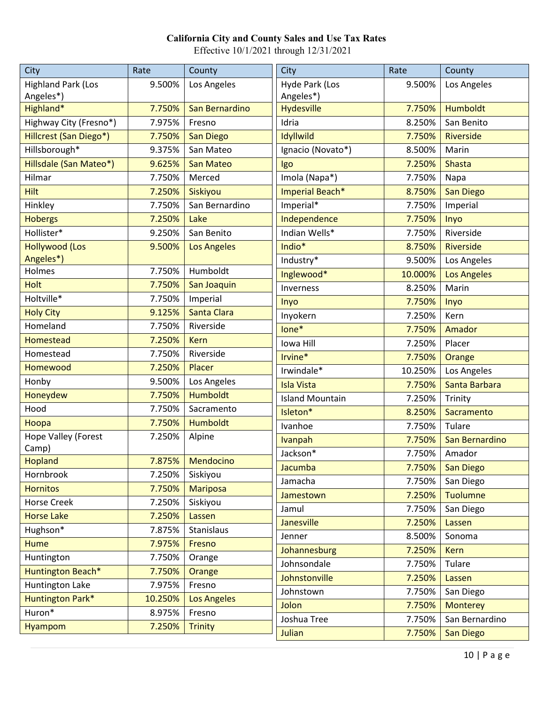| City                       | Rate    | County             | City                   | Rate    | County             |
|----------------------------|---------|--------------------|------------------------|---------|--------------------|
| <b>Highland Park (Los</b>  | 9.500%  | Los Angeles        | Hyde Park (Los         | 9.500%  | Los Angeles        |
| Angeles*)                  |         |                    | Angeles*)              |         |                    |
| Highland*                  | 7.750%  | San Bernardino     | <b>Hydesville</b>      | 7.750%  | <b>Humboldt</b>    |
| Highway City (Fresno*)     | 7.975%  | Fresno             | Idria                  | 8.250%  | San Benito         |
| Hillcrest (San Diego*)     | 7.750%  | <b>San Diego</b>   | Idyllwild              | 7.750%  | Riverside          |
| Hillsborough*              | 9.375%  | San Mateo          | Ignacio (Novato*)      | 8.500%  | Marin              |
| Hillsdale (San Mateo*)     | 9.625%  | <b>San Mateo</b>   | Igo                    | 7.250%  | <b>Shasta</b>      |
| Hilmar                     | 7.750%  | Merced             | Imola (Napa*)          | 7.750%  | Napa               |
| <b>Hilt</b>                | 7.250%  | Siskiyou           | Imperial Beach*        | 8.750%  | <b>San Diego</b>   |
| Hinkley                    | 7.750%  | San Bernardino     | Imperial*              | 7.750%  | Imperial           |
| <b>Hobergs</b>             | 7.250%  | Lake               | Independence           | 7.750%  | Inyo               |
| Hollister*                 | 9.250%  | San Benito         | Indian Wells*          | 7.750%  | Riverside          |
| <b>Hollywood (Los</b>      | 9.500%  | <b>Los Angeles</b> | Indio*                 | 8.750%  | Riverside          |
| Angeles*)                  |         |                    | Industry*              | 9.500%  | Los Angeles        |
| Holmes                     | 7.750%  | Humboldt           | Inglewood*             | 10.000% | <b>Los Angeles</b> |
| <b>Holt</b>                | 7.750%  | San Joaquin        | Inverness              | 8.250%  | Marin              |
| Holtville*                 | 7.750%  | Imperial           | Inyo                   | 7.750%  | Inyo               |
| <b>Holy City</b>           | 9.125%  | Santa Clara        | Inyokern               | 7.250%  | Kern               |
| Homeland                   | 7.750%  | Riverside          | lone*                  | 7.750%  | Amador             |
| <b>Homestead</b>           | 7.250%  | <b>Kern</b>        | lowa Hill              | 7.250%  | Placer             |
| Homestead                  | 7.750%  | Riverside          | Irvine*                | 7.750%  | Orange             |
| Homewood                   | 7.250%  | Placer             | Irwindale*             | 10.250% | Los Angeles        |
| Honby                      | 9.500%  | Los Angeles        | <b>Isla Vista</b>      | 7.750%  | Santa Barbara      |
| Honeydew                   | 7.750%  | <b>Humboldt</b>    | <b>Island Mountain</b> | 7.250%  | Trinity            |
| Hood                       | 7.750%  | Sacramento         | Isleton*               | 8.250%  | Sacramento         |
| Hoopa                      | 7.750%  | Humboldt           | Ivanhoe                | 7.750%  | Tulare             |
| <b>Hope Valley (Forest</b> | 7.250%  | Alpine             | <b>Ivanpah</b>         | 7.750%  | San Bernardino     |
| Camp)                      |         |                    | Jackson*               | 7.750%  | Amador             |
| <b>Hopland</b>             |         | 7.875%   Mendocino | Jacumba                | 7.750%  | <b>San Diego</b>   |
| Hornbrook                  | 7.250%  | Siskiyou           | Jamacha                | 7.750%  | San Diego          |
| <b>Hornitos</b>            | 7.750%  | <b>Mariposa</b>    | Jamestown              | 7.250%  | <b>Tuolumne</b>    |
| Horse Creek                | 7.250%  | Siskiyou           | Jamul                  | 7.750%  | San Diego          |
| <b>Horse Lake</b>          | 7.250%  | Lassen             | Janesville             | 7.250%  | Lassen             |
| Hughson*                   | 7.875%  | Stanislaus         | Jenner                 | 8.500%  | Sonoma             |
| <b>Hume</b>                | 7.975%  | Fresno             | Johannesburg           | 7.250%  | <b>Kern</b>        |
| Huntington                 | 7.750%  | Orange             | Johnsondale            | 7.750%  | Tulare             |
| Huntington Beach*          | 7.750%  | Orange             | Johnstonville          | 7.250%  | Lassen             |
| Huntington Lake            | 7.975%  | Fresno             | Johnstown              | 7.750%  | San Diego          |
| Huntington Park*           | 10.250% | <b>Los Angeles</b> | Jolon                  | 7.750%  | <b>Monterey</b>    |
| Huron*                     | 8.975%  | Fresno             | Joshua Tree            | 7.750%  | San Bernardino     |
| <b>Hyampom</b>             | 7.250%  | <b>Trinity</b>     | Julian                 | 7.750%  | <b>San Diego</b>   |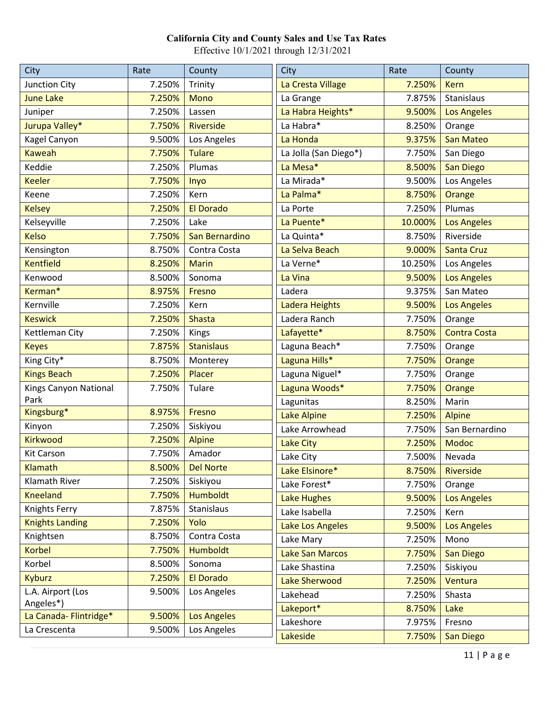| City                   | Rate   | County             | <b>City</b>            | Rate    | County              |
|------------------------|--------|--------------------|------------------------|---------|---------------------|
| Junction City          | 7.250% | Trinity            | La Cresta Village      | 7.250%  | <b>Kern</b>         |
| <b>June Lake</b>       | 7.250% | <b>Mono</b>        | La Grange              | 7.875%  | Stanislaus          |
| Juniper                | 7.250% | Lassen             | La Habra Heights*      | 9.500%  | <b>Los Angeles</b>  |
| Jurupa Valley*         | 7.750% | <b>Riverside</b>   | La Habra*              | 8.250%  | Orange              |
| Kagel Canyon           | 9.500% | Los Angeles        | La Honda               | 9.375%  | <b>San Mateo</b>    |
| <b>Kaweah</b>          | 7.750% | <b>Tulare</b>      | La Jolla (San Diego*)  | 7.750%  | San Diego           |
| Keddie                 | 7.250% | Plumas             | La Mesa*               | 8.500%  | <b>San Diego</b>    |
| <b>Keeler</b>          | 7.750% | Inyo               | La Mirada*             | 9.500%  | Los Angeles         |
| Keene                  | 7.250% | Kern               | La Palma*              | 8.750%  | Orange              |
| <b>Kelsey</b>          | 7.250% | <b>El Dorado</b>   | La Porte               | 7.250%  | Plumas              |
| Kelseyville            | 7.250% | Lake               | La Puente*             | 10.000% | <b>Los Angeles</b>  |
| <b>Kelso</b>           | 7.750% | San Bernardino     | La Quinta*             | 8.750%  | Riverside           |
| Kensington             | 8.750% | Contra Costa       | La Selva Beach         | 9.000%  | <b>Santa Cruz</b>   |
| <b>Kentfield</b>       | 8.250% | <b>Marin</b>       | La Verne*              | 10.250% | Los Angeles         |
| Kenwood                | 8.500% | Sonoma             | La Vina                | 9.500%  | <b>Los Angeles</b>  |
| Kerman*                | 8.975% | Fresno             | Ladera                 | 9.375%  | San Mateo           |
| Kernville              | 7.250% | Kern               | Ladera Heights         | 9.500%  | <b>Los Angeles</b>  |
| <b>Keswick</b>         | 7.250% | <b>Shasta</b>      | Ladera Ranch           | 7.750%  | Orange              |
| Kettleman City         | 7.250% | Kings              | Lafayette*             | 8.750%  | <b>Contra Costa</b> |
| <b>Keyes</b>           | 7.875% | <b>Stanislaus</b>  | Laguna Beach*          | 7.750%  | Orange              |
| King City*             | 8.750% | Monterey           | Laguna Hills*          | 7.750%  | Orange              |
| <b>Kings Beach</b>     | 7.250% | Placer             | Laguna Niguel*         | 7.750%  | Orange              |
| Kings Canyon National  | 7.750% | Tulare             | Laguna Woods*          | 7.750%  | Orange              |
| Park                   |        |                    | Lagunitas              | 8.250%  | Marin               |
| Kingsburg*             | 8.975% | Fresno             | <b>Lake Alpine</b>     | 7.250%  | <b>Alpine</b>       |
| Kinyon                 | 7.250% | Siskiyou           | Lake Arrowhead         | 7.750%  | San Bernardino      |
| <b>Kirkwood</b>        | 7.250% | <b>Alpine</b>      | Lake City              | 7.250%  | <b>Modoc</b>        |
| <b>Kit Carson</b>      | 7.750% | Amador             | Lake City              | 7.500%  | Nevada              |
| Klamath                | 8.500% | <b>Del Norte</b>   | Lake Elsinore*         | 8.750%  | Riverside           |
| Klamath River          | 7.250% | Siskiyou           | Lake Forest*           | 7.750%  | Orange              |
| <b>Kneeland</b>        | 7.750% | <b>Humboldt</b>    | <b>Lake Hughes</b>     | 9.500%  | <b>Los Angeles</b>  |
| Knights Ferry          | 7.875% | Stanislaus         | Lake Isabella          | 7.250%  | Kern                |
| <b>Knights Landing</b> | 7.250% | Yolo               | Lake Los Angeles       | 9.500%  | <b>Los Angeles</b>  |
| Knightsen              | 8.750% | Contra Costa       | Lake Mary              | 7.250%  | Mono                |
| <b>Korbel</b>          | 7.750% | <b>Humboldt</b>    | <b>Lake San Marcos</b> | 7.750%  | San Diego           |
| Korbel                 | 8.500% | Sonoma             | Lake Shastina          | 7.250%  | Siskiyou            |
| <b>Kyburz</b>          | 7.250% | El Dorado          | <b>Lake Sherwood</b>   | 7.250%  | Ventura             |
| L.A. Airport (Los      | 9.500% | Los Angeles        | Lakehead               | 7.250%  | Shasta              |
| Angeles*)              |        |                    | Lakeport*              | 8.750%  | Lake                |
| La Canada- Flintridge* | 9.500% | <b>Los Angeles</b> | Lakeshore              | 7.975%  | Fresno              |
| La Crescenta           | 9.500% | Los Angeles        | Lakeside               | 7.750%  | San Diego           |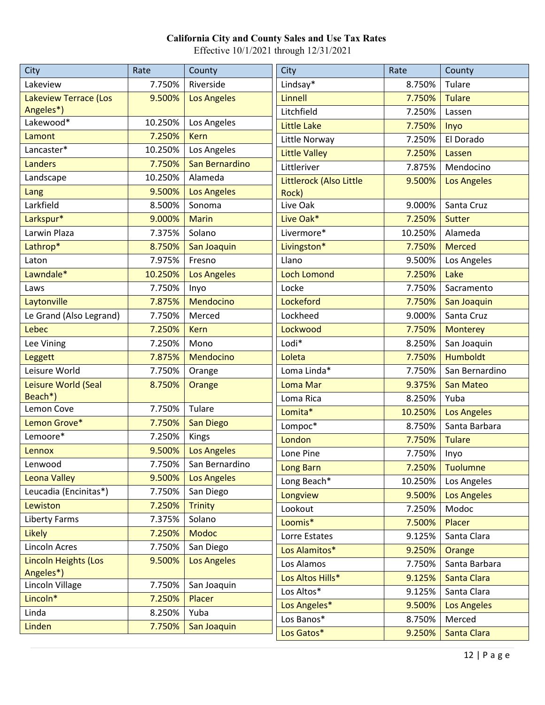| City                    | Rate    | County                | City                    | Rate    | County             |
|-------------------------|---------|-----------------------|-------------------------|---------|--------------------|
| Lakeview                | 7.750%  | Riverside             | Lindsay*                | 8.750%  | Tulare             |
| Lakeview Terrace (Los   | 9.500%  | <b>Los Angeles</b>    | Linnell                 | 7.750%  | <b>Tulare</b>      |
| Angeles*)               |         |                       | Litchfield              | 7.250%  | Lassen             |
| Lakewood*               | 10.250% | Los Angeles           | <b>Little Lake</b>      | 7.750%  | Inyo               |
| Lamont                  | 7.250%  | <b>Kern</b>           | Little Norway           | 7.250%  | El Dorado          |
| Lancaster*              | 10.250% | Los Angeles           | <b>Little Valley</b>    | 7.250%  | Lassen             |
| Landers                 | 7.750%  | San Bernardino        | Littleriver             | 7.875%  | Mendocino          |
| Landscape               | 10.250% | Alameda               | Littlerock (Also Little | 9.500%  | <b>Los Angeles</b> |
| Lang                    | 9.500%  | <b>Los Angeles</b>    | Rock)                   |         |                    |
| Larkfield               | 8.500%  | Sonoma                | Live Oak                | 9.000%  | Santa Cruz         |
| Larkspur*               | 9.000%  | <b>Marin</b>          | Live Oak*               | 7.250%  | Sutter             |
| Larwin Plaza            | 7.375%  | Solano                | Livermore*              | 10.250% | Alameda            |
| Lathrop*                | 8.750%  | San Joaquin           | Livingston*             | 7.750%  | <b>Merced</b>      |
| Laton                   | 7.975%  | Fresno                | Llano                   | 9.500%  | Los Angeles        |
| Lawndale*               | 10.250% | <b>Los Angeles</b>    | <b>Loch Lomond</b>      | 7.250%  | Lake               |
| Laws                    | 7.750%  | Inyo                  | Locke                   | 7.750%  | Sacramento         |
| Laytonville             | 7.875%  | Mendocino             | Lockeford               | 7.750%  | San Joaquin        |
| Le Grand (Also Legrand) | 7.750%  | Merced                | Lockheed                | 9.000%  | Santa Cruz         |
| Lebec                   | 7.250%  | <b>Kern</b>           | Lockwood                | 7.750%  | <b>Monterey</b>    |
| Lee Vining              | 7.250%  | Mono                  | Lodi*                   | 8.250%  | San Joaquin        |
| <b>Leggett</b>          | 7.875%  | Mendocino             | Loleta                  | 7.750%  | <b>Humboldt</b>    |
| Leisure World           | 7.750%  | Orange                | Loma Linda*             | 7.750%  | San Bernardino     |
| Leisure World (Seal     | 8.750%  | Orange                | Loma Mar                | 9.375%  | <b>San Mateo</b>   |
| Beach*)                 |         |                       | Loma Rica               | 8.250%  | Yuba               |
| Lemon Cove              | 7.750%  | Tulare                | Lomita*                 | 10.250% | <b>Los Angeles</b> |
| Lemon Grove*            | 7.750%  | <b>San Diego</b>      | Lompoc*                 | 8.750%  | Santa Barbara      |
| Lemoore*                | 7.250%  | Kings                 | London                  | 7.750%  | <b>Tulare</b>      |
| Lennox                  | 9.500%  | <b>Los Angeles</b>    | Lone Pine               | 7.750%  | Inyo               |
| Lenwood                 |         | 7.750% San Bernardino | Long Barn               | 7.250%  | <b>Tuolumne</b>    |
| <b>Leona Valley</b>     | 9.500%  | <b>Los Angeles</b>    | Long Beach*             | 10.250% | Los Angeles        |
| Leucadia (Encinitas*)   | 7.750%  | San Diego             | Longview                | 9.500%  | <b>Los Angeles</b> |
| Lewiston                | 7.250%  | <b>Trinity</b>        | Lookout                 | 7.250%  | Modoc              |
| Liberty Farms           | 7.375%  | Solano                | Loomis*                 | 7.500%  | Placer             |
| <b>Likely</b>           | 7.250%  | <b>Modoc</b>          | Lorre Estates           | 9.125%  | Santa Clara        |
| Lincoln Acres           | 7.750%  | San Diego             | Los Alamitos*           | 9.250%  | Orange             |
| Lincoln Heights (Los    | 9.500%  | <b>Los Angeles</b>    | Los Alamos              | 7.750%  | Santa Barbara      |
| Angeles*)               |         |                       | Los Altos Hills*        | 9.125%  | Santa Clara        |
| Lincoln Village         | 7.750%  | San Joaquin           | Los Altos*              | 9.125%  | Santa Clara        |
| Lincoln*                | 7.250%  | Placer                | Los Angeles*            | 9.500%  | <b>Los Angeles</b> |
| Linda                   | 8.250%  | Yuba                  | Los Banos*              | 8.750%  | Merced             |
| Linden                  | 7.750%  | San Joaquin           | Los Gatos*              | 9.250%  | Santa Clara        |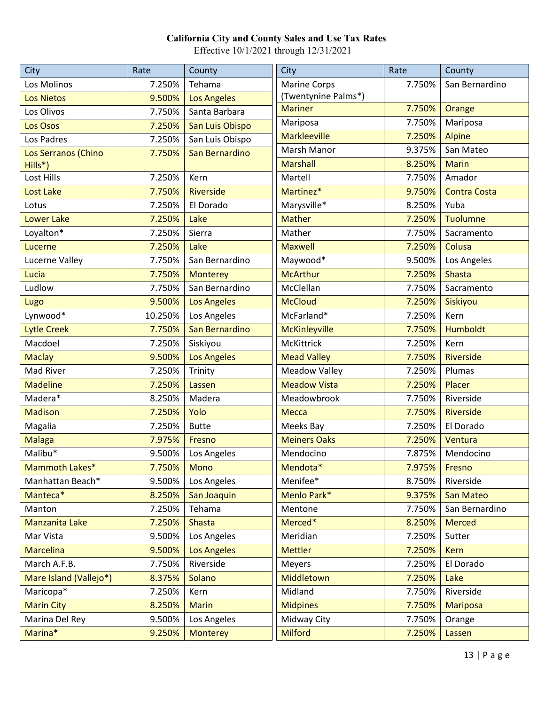| City                   | Rate    | County             | City                 | Rate   | County              |
|------------------------|---------|--------------------|----------------------|--------|---------------------|
| Los Molinos            | 7.250%  | Tehama             | Marine Corps         | 7.750% | San Bernardino      |
| <b>Los Nietos</b>      | 9.500%  | <b>Los Angeles</b> | (Twentynine Palms*)  |        |                     |
| Los Olivos             | 7.750%  | Santa Barbara      | <b>Mariner</b>       | 7.750% | Orange              |
| Los Osos               | 7.250%  | San Luis Obispo    | Mariposa             | 7.750% | Mariposa            |
| Los Padres             | 7.250%  | San Luis Obispo    | <b>Markleeville</b>  | 7.250% | <b>Alpine</b>       |
| Los Serranos (Chino    | 7.750%  | San Bernardino     | Marsh Manor          | 9.375% | San Mateo           |
| Hills*)                |         |                    | <b>Marshall</b>      | 8.250% | <b>Marin</b>        |
| Lost Hills             | 7.250%  | Kern               | Martell              | 7.750% | Amador              |
| <b>Lost Lake</b>       | 7.750%  | Riverside          | Martinez*            | 9.750% | <b>Contra Costa</b> |
| Lotus                  | 7.250%  | El Dorado          | Marysville*          | 8.250% | Yuba                |
| <b>Lower Lake</b>      | 7.250%  | Lake               | <b>Mather</b>        | 7.250% | <b>Tuolumne</b>     |
| Loyalton*              | 7.250%  | Sierra             | Mather               | 7.750% | Sacramento          |
| Lucerne                | 7.250%  | Lake               | <b>Maxwell</b>       | 7.250% | Colusa              |
| Lucerne Valley         | 7.750%  | San Bernardino     | Maywood*             | 9.500% | Los Angeles         |
| Lucia                  | 7.750%  | <b>Monterey</b>    | <b>McArthur</b>      | 7.250% | <b>Shasta</b>       |
| Ludlow                 | 7.750%  | San Bernardino     | McClellan            | 7.750% | Sacramento          |
| Lugo                   | 9.500%  | <b>Los Angeles</b> | <b>McCloud</b>       | 7.250% | Siskiyou            |
| Lynwood*               | 10.250% | Los Angeles        | McFarland*           | 7.250% | Kern                |
| <b>Lytle Creek</b>     | 7.750%  | San Bernardino     | McKinleyville        | 7.750% | <b>Humboldt</b>     |
| Macdoel                | 7.250%  | Siskiyou           | McKittrick           | 7.250% | Kern                |
| <b>Maclay</b>          | 9.500%  | <b>Los Angeles</b> | <b>Mead Valley</b>   | 7.750% | <b>Riverside</b>    |
| Mad River              | 7.250%  | Trinity            | <b>Meadow Valley</b> | 7.250% | Plumas              |
| <b>Madeline</b>        | 7.250%  | Lassen             | <b>Meadow Vista</b>  | 7.250% | Placer              |
| Madera*                | 8.250%  | Madera             | Meadowbrook          | 7.750% | Riverside           |
| <b>Madison</b>         | 7.250%  | Yolo               | <b>Mecca</b>         | 7.750% | Riverside           |
| Magalia                | 7.250%  | <b>Butte</b>       | Meeks Bay            | 7.250% | El Dorado           |
| <b>Malaga</b>          | 7.975%  | Fresno             | <b>Meiners Oaks</b>  | 7.250% | Ventura             |
| Malibu*                | 9.500%  | Los Angeles        | Mendocino            | 7.875% | Mendocino           |
| Mammoth Lakes*         | 7.750%  | Mono               | Mendota*             | 7.975% | Fresno              |
| Manhattan Beach*       | 9.500%  | Los Angeles        | Menifee*             | 8.750% | Riverside           |
| Manteca*               | 8.250%  | San Joaquin        | Menlo Park*          | 9.375% | San Mateo           |
| Manton                 | 7.250%  | Tehama             | Mentone              | 7.750% | San Bernardino      |
| Manzanita Lake         | 7.250%  | <b>Shasta</b>      | Merced*              | 8.250% | <b>Merced</b>       |
| Mar Vista              | 9.500%  | Los Angeles        | Meridian             | 7.250% | Sutter              |
| <b>Marcelina</b>       | 9.500%  | <b>Los Angeles</b> | <b>Mettler</b>       | 7.250% | <b>Kern</b>         |
| March A.F.B.           | 7.750%  | Riverside          | Meyers               | 7.250% | El Dorado           |
| Mare Island (Vallejo*) | 8.375%  | Solano             | Middletown           | 7.250% | Lake                |
| Maricopa*              | 7.250%  | Kern               | Midland              | 7.750% | Riverside           |
| <b>Marin City</b>      | 8.250%  | <b>Marin</b>       | <b>Midpines</b>      | 7.750% | <b>Mariposa</b>     |
| Marina Del Rey         | 9.500%  | Los Angeles        | Midway City          | 7.750% | Orange              |
| Marina*                | 9.250%  | <b>Monterey</b>    | <b>Milford</b>       | 7.250% | Lassen              |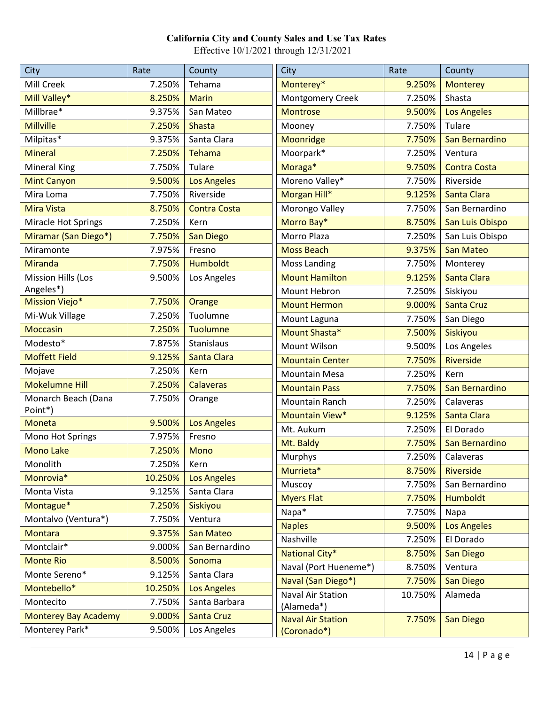| <b>City</b>                 | Rate    | County              | City                     | Rate    | County              |
|-----------------------------|---------|---------------------|--------------------------|---------|---------------------|
| Mill Creek                  | 7.250%  | Tehama              | Monterey*                | 9.250%  | <b>Monterey</b>     |
| Mill Valley*                | 8.250%  | <b>Marin</b>        | Montgomery Creek         | 7.250%  | Shasta              |
| Millbrae*                   | 9.375%  | San Mateo           | <b>Montrose</b>          | 9.500%  | <b>Los Angeles</b>  |
| <b>Millville</b>            | 7.250%  | <b>Shasta</b>       | Mooney                   | 7.750%  | Tulare              |
| Milpitas*                   | 9.375%  | Santa Clara         | Moonridge                | 7.750%  | San Bernardino      |
| <b>Mineral</b>              | 7.250%  | <b>Tehama</b>       | Moorpark*                | 7.250%  | Ventura             |
| <b>Mineral King</b>         | 7.750%  | Tulare              | Moraga*                  | 9.750%  | <b>Contra Costa</b> |
| <b>Mint Canyon</b>          | 9.500%  | <b>Los Angeles</b>  | Moreno Valley*           | 7.750%  | Riverside           |
| Mira Loma                   | 7.750%  | Riverside           | Morgan Hill*             | 9.125%  | Santa Clara         |
| Mira Vista                  | 8.750%  | <b>Contra Costa</b> | Morongo Valley           | 7.750%  | San Bernardino      |
| Miracle Hot Springs         | 7.250%  | Kern                | Morro Bay*               | 8.750%  | San Luis Obispo     |
| Miramar (San Diego*)        | 7.750%  | San Diego           | Morro Plaza              | 7.250%  | San Luis Obispo     |
| Miramonte                   | 7.975%  | Fresno              | <b>Moss Beach</b>        | 9.375%  | <b>San Mateo</b>    |
| <b>Miranda</b>              | 7.750%  | <b>Humboldt</b>     | <b>Moss Landing</b>      | 7.750%  | Monterey            |
| <b>Mission Hills (Los</b>   | 9.500%  | Los Angeles         | <b>Mount Hamilton</b>    | 9.125%  | Santa Clara         |
| Angeles*)                   |         |                     | Mount Hebron             | 7.250%  | Siskiyou            |
| <b>Mission Viejo*</b>       | 7.750%  | Orange              | <b>Mount Hermon</b>      | 9.000%  | <b>Santa Cruz</b>   |
| Mi-Wuk Village              | 7.250%  | Tuolumne            | Mount Laguna             | 7.750%  | San Diego           |
| <b>Moccasin</b>             | 7.250%  | <b>Tuolumne</b>     | Mount Shasta*            | 7.500%  | Siskiyou            |
| Modesto*                    | 7.875%  | Stanislaus          | Mount Wilson             | 9.500%  | Los Angeles         |
| <b>Moffett Field</b>        | 9.125%  | Santa Clara         | <b>Mountain Center</b>   | 7.750%  | <b>Riverside</b>    |
| Mojave                      | 7.250%  | Kern                | <b>Mountain Mesa</b>     | 7.250%  | Kern                |
| <b>Mokelumne Hill</b>       | 7.250%  | <b>Calaveras</b>    | <b>Mountain Pass</b>     | 7.750%  | San Bernardino      |
| Monarch Beach (Dana         | 7.750%  | Orange              | Mountain Ranch           | 7.250%  | Calaveras           |
| Point*)                     |         |                     | Mountain View*           | 9.125%  | Santa Clara         |
| <b>Moneta</b>               | 9.500%  | <b>Los Angeles</b>  | Mt. Aukum                | 7.250%  | El Dorado           |
| Mono Hot Springs            | 7.975%  | Fresno              | Mt. Baldy                | 7.750%  | San Bernardino      |
| <b>Mono Lake</b>            | 7.250%  | <b>Mono</b>         | Murphys                  | 7.250%  | Calaveras           |
| Monolith                    | 7.250%  | Kern                | Murrieta*                | 8.750%  | Riverside           |
| Monrovia*                   | 10.250% | <b>Los Angeles</b>  | Muscoy                   | 7.750%  | San Bernardino      |
| Monta Vista                 | 9.125%  | Santa Clara         | <b>Myers Flat</b>        | 7.750%  | <b>Humboldt</b>     |
| Montague*                   | 7.250%  | Siskiyou            | Napa*                    | 7.750%  | Napa                |
| Montalvo (Ventura*)         | 7.750%  | Ventura             | <b>Naples</b>            | 9.500%  | <b>Los Angeles</b>  |
| <b>Montara</b>              | 9.375%  | San Mateo           | Nashville                | 7.250%  | El Dorado           |
| Montclair*                  | 9.000%  | San Bernardino      | National City*           | 8.750%  | <b>San Diego</b>    |
| <b>Monte Rio</b>            | 8.500%  | Sonoma              | Naval (Port Hueneme*)    | 8.750%  | Ventura             |
| Monte Sereno*               | 9.125%  | Santa Clara         | Naval (San Diego*)       | 7.750%  | <b>San Diego</b>    |
| Montebello*                 | 10.250% | <b>Los Angeles</b>  | Naval Air Station        | 10.750% | Alameda             |
| Montecito                   | 7.750%  | Santa Barbara       | (Alameda*)               |         |                     |
| <b>Monterey Bay Academy</b> | 9.000%  | <b>Santa Cruz</b>   | <b>Naval Air Station</b> | 7.750%  | <b>San Diego</b>    |
| Monterey Park*              | 9.500%  | Los Angeles         | (Coronado*)              |         |                     |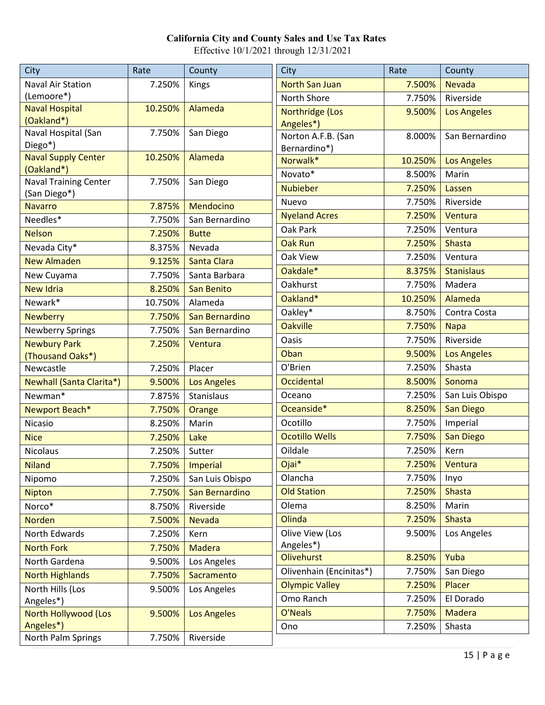| City                           | Rate    | County             | City                    | Rate      | County             |
|--------------------------------|---------|--------------------|-------------------------|-----------|--------------------|
| <b>Naval Air Station</b>       | 7.250%  | Kings              | <b>North San Juan</b>   | 7.500%    | <b>Nevada</b>      |
| (Lemoore*)                     |         |                    | North Shore             | 7.750%    | Riverside          |
| <b>Naval Hospital</b>          | 10.250% | Alameda            | Northridge (Los         | 9.500%    | <b>Los Angeles</b> |
| (Oakland*)                     |         |                    | Angeles*)               |           |                    |
| Naval Hospital (San<br>Diego*) | 7.750%  | San Diego          | Norton A.F.B. (San      | 8.000%    | San Bernardino     |
| Naval Supply Center            | 10.250% | Alameda            | Bernardino*)            |           |                    |
| (Oakland*)                     |         |                    | Norwalk*                | 10.250%   | <b>Los Angeles</b> |
| <b>Naval Training Center</b>   | 7.750%  | San Diego          | Novato*                 | 8.500%    | Marin              |
| (San Diego*)                   |         |                    | <b>Nubieber</b>         | 7.250%    | Lassen             |
| <b>Navarro</b>                 | 7.875%  | Mendocino          | Nuevo                   | 7.750%    | Riverside          |
| Needles*                       | 7.750%  | San Bernardino     | <b>Nyeland Acres</b>    | 7.250%    | Ventura            |
| <b>Nelson</b>                  | 7.250%  | <b>Butte</b>       | Oak Park                | 7.250%    | Ventura            |
| Nevada City*                   | 8.375%  | Nevada             | <b>Oak Run</b>          | 7.250%    | <b>Shasta</b>      |
| <b>New Almaden</b>             | 9.125%  | Santa Clara        | Oak View                | 7.250%    | Ventura            |
| New Cuyama                     | 7.750%  | Santa Barbara      | Oakdale*                | 8.375%    | <b>Stanislaus</b>  |
| <b>New Idria</b>               | 8.250%  | <b>San Benito</b>  | Oakhurst                | 7.750%    | Madera             |
| Newark*                        | 10.750% | Alameda            | Oakland*                | 10.250%   | Alameda            |
| <b>Newberry</b>                | 7.750%  | San Bernardino     | Oakley*                 | 8.750%    | Contra Costa       |
| <b>Newberry Springs</b>        | 7.750%  | San Bernardino     | <b>Oakville</b>         | 7.750%    | <b>Napa</b>        |
| <b>Newbury Park</b>            | 7.250%  | Ventura            | Oasis                   | 7.750%    | Riverside          |
| (Thousand Oaks*)               |         |                    | Oban                    | 9.500%    | <b>Los Angeles</b> |
| Newcastle                      | 7.250%  | Placer             | O'Brien                 | 7.250%    | Shasta             |
| Newhall (Santa Clarita*)       | 9.500%  | <b>Los Angeles</b> | Occidental              | 8.500%    | Sonoma             |
| Newman*                        | 7.875%  | Stanislaus         | Oceano                  | 7.250%    | San Luis Obispo    |
| Newport Beach*                 | 7.750%  | Orange             | Oceanside*              | 8.250%    | <b>San Diego</b>   |
| Nicasio                        | 8.250%  | Marin              | Ocotillo                | 7.750%    | Imperial           |
| <b>Nice</b>                    | 7.250%  | Lake               | <b>Ocotillo Wells</b>   | 7.750%    | <b>San Diego</b>   |
| Nicolaus                       | 7.250%  | Sutter             | Oildale                 | 7.250%    | Kern               |
| <b>Niland</b>                  |         | 7.750%   Imperial  | Ojai*                   | $7.250\%$ | Ventura            |
| Nipomo                         | 7.250%  | San Luis Obispo    | Olancha                 | 7.750%    | Inyo               |
| <b>Nipton</b>                  | 7.750%  | San Bernardino     | <b>Old Station</b>      | 7.250%    | <b>Shasta</b>      |
| Norco*                         | 8.750%  | Riverside          | Olema                   | 8.250%    | Marin              |
| <b>Norden</b>                  | 7.500%  | Nevada             | Olinda                  | 7.250%    | <b>Shasta</b>      |
| North Edwards                  | 7.250%  | Kern               | Olive View (Los         | 9.500%    | Los Angeles        |
| <b>North Fork</b>              | 7.750%  | Madera             | Angeles*)               |           |                    |
| North Gardena                  | 9.500%  | Los Angeles        | <b>Olivehurst</b>       | 8.250%    | Yuba               |
| <b>North Highlands</b>         | 7.750%  | Sacramento         | Olivenhain (Encinitas*) | 7.750%    | San Diego          |
| North Hills (Los               | 9.500%  | Los Angeles        | <b>Olympic Valley</b>   | 7.250%    | Placer             |
| Angeles*)                      |         |                    | Omo Ranch               | 7.250%    | El Dorado          |
| North Hollywood (Los           | 9.500%  | <b>Los Angeles</b> | O'Neals                 | 7.750%    | <b>Madera</b>      |
| Angeles*)                      |         |                    | Ono                     | 7.250%    | Shasta             |
| North Palm Springs             | 7.750%  | Riverside          |                         |           |                    |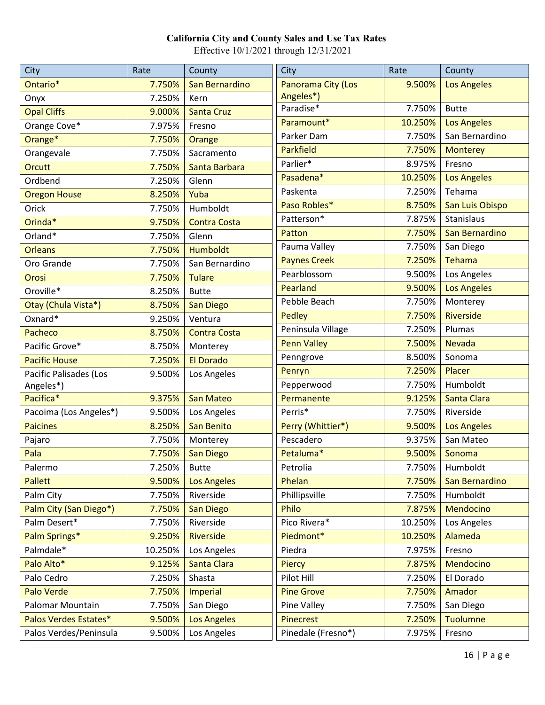| City                   | Rate    | County              | City                | Rate    | County             |
|------------------------|---------|---------------------|---------------------|---------|--------------------|
| Ontario*               | 7.750%  | San Bernardino      | Panorama City (Los  | 9.500%  | <b>Los Angeles</b> |
| Onyx                   | 7.250%  | Kern                | Angeles*)           |         |                    |
| <b>Opal Cliffs</b>     | 9.000%  | <b>Santa Cruz</b>   | Paradise*           | 7.750%  | <b>Butte</b>       |
| Orange Cove*           | 7.975%  | Fresno              | Paramount*          | 10.250% | <b>Los Angeles</b> |
| Orange*                | 7.750%  | Orange              | Parker Dam          | 7.750%  | San Bernardino     |
| Orangevale             | 7.750%  | Sacramento          | <b>Parkfield</b>    | 7.750%  | <b>Monterey</b>    |
| Orcutt                 | 7.750%  | Santa Barbara       | Parlier*            | 8.975%  | Fresno             |
| Ordbend                | 7.250%  | Glenn               | Pasadena*           | 10.250% | <b>Los Angeles</b> |
| <b>Oregon House</b>    | 8.250%  | Yuba                | Paskenta            | 7.250%  | Tehama             |
| Orick                  | 7.750%  | Humboldt            | Paso Robles*        | 8.750%  | San Luis Obispo    |
| Orinda*                | 9.750%  | <b>Contra Costa</b> | Patterson*          | 7.875%  | Stanislaus         |
| Orland*                | 7.750%  | Glenn               | Patton              | 7.750%  | San Bernardino     |
| <b>Orleans</b>         | 7.750%  | <b>Humboldt</b>     | Pauma Valley        | 7.750%  | San Diego          |
| Oro Grande             | 7.750%  | San Bernardino      | <b>Paynes Creek</b> | 7.250%  | Tehama             |
| Orosi                  | 7.750%  | <b>Tulare</b>       | Pearblossom         | 9.500%  | Los Angeles        |
| Oroville*              | 8.250%  | <b>Butte</b>        | Pearland            | 9.500%  | <b>Los Angeles</b> |
| Otay (Chula Vista*)    | 8.750%  | <b>San Diego</b>    | Pebble Beach        | 7.750%  | Monterey           |
| Oxnard*                | 9.250%  | Ventura             | Pedley              | 7.750%  | <b>Riverside</b>   |
| Pacheco                | 8.750%  | <b>Contra Costa</b> | Peninsula Village   | 7.250%  | Plumas             |
| Pacific Grove*         | 8.750%  | Monterey            | <b>Penn Valley</b>  | 7.500%  | <b>Nevada</b>      |
| <b>Pacific House</b>   | 7.250%  | <b>El Dorado</b>    | Penngrove           | 8.500%  | Sonoma             |
| Pacific Palisades (Los | 9.500%  | Los Angeles         | Penryn              | 7.250%  | Placer             |
| Angeles*)              |         |                     | Pepperwood          | 7.750%  | Humboldt           |
| Pacifica*              | 9.375%  | <b>San Mateo</b>    | Permanente          | 9.125%  | <b>Santa Clara</b> |
| Pacoima (Los Angeles*) | 9.500%  | Los Angeles         | Perris*             | 7.750%  | Riverside          |
| <b>Paicines</b>        | 8.250%  | <b>San Benito</b>   | Perry (Whittier*)   | 9.500%  | <b>Los Angeles</b> |
| Pajaro                 | 7.750%  | Monterey            | Pescadero           | 9.375%  | San Mateo          |
| Pala                   | 7.750%  | <b>San Diego</b>    | Petaluma*           | 9.500%  | Sonoma             |
| Palermo                | 7.250%  | <b>Butte</b>        | Petrolia            | 7.750%  | Humboldt           |
| <b>Pallett</b>         | 9.500%  | <b>Los Angeles</b>  | Phelan              | 7.750%  | San Bernardino     |
| Palm City              | 7.750%  | Riverside           | Phillipsville       | 7.750%  | Humboldt           |
| Palm City (San Diego*) | 7.750%  | San Diego           | Philo               | 7.875%  | Mendocino          |
| Palm Desert*           | 7.750%  | Riverside           | Pico Rivera*        | 10.250% | Los Angeles        |
| Palm Springs*          | 9.250%  | Riverside           | Piedmont*           | 10.250% | Alameda            |
| Palmdale*              | 10.250% | Los Angeles         | Piedra              | 7.975%  | Fresno             |
| Palo Alto*             | 9.125%  | Santa Clara         | <b>Piercy</b>       | 7.875%  | Mendocino          |
| Palo Cedro             | 7.250%  | Shasta              | Pilot Hill          | 7.250%  | El Dorado          |
| Palo Verde             | 7.750%  | <b>Imperial</b>     | <b>Pine Grove</b>   | 7.750%  | Amador             |
| Palomar Mountain       | 7.750%  | San Diego           | Pine Valley         | 7.750%  | San Diego          |
| Palos Verdes Estates*  | 9.500%  | <b>Los Angeles</b>  | <b>Pinecrest</b>    | 7.250%  | <b>Tuolumne</b>    |
| Palos Verdes/Peninsula | 9.500%  | Los Angeles         | Pinedale (Fresno*)  | 7.975%  | Fresno             |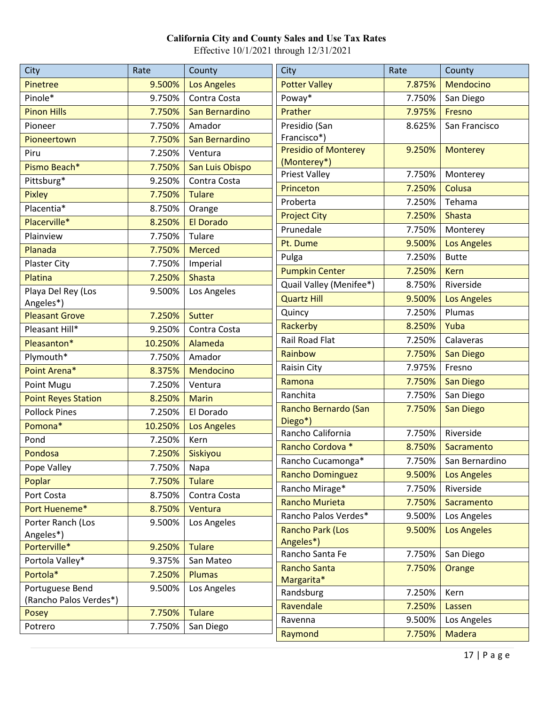| City                       | Rate    | County             | City                                 | Rate   | County             |
|----------------------------|---------|--------------------|--------------------------------------|--------|--------------------|
| Pinetree                   | 9.500%  | <b>Los Angeles</b> | <b>Potter Valley</b>                 | 7.875% | Mendocino          |
| Pinole*                    | 9.750%  | Contra Costa       | Poway*                               | 7.750% | San Diego          |
| <b>Pinon Hills</b>         | 7.750%  | San Bernardino     | Prather                              | 7.975% | Fresno             |
| Pioneer                    | 7.750%  | Amador             | Presidio (San                        | 8.625% | San Francisco      |
| Pioneertown                | 7.750%  | San Bernardino     | Francisco*)                          |        |                    |
| Piru                       | 7.250%  | Ventura            | <b>Presidio of Monterey</b>          | 9.250% | <b>Monterey</b>    |
| Pismo Beach*               | 7.750%  | San Luis Obispo    | (Monterey*)<br><b>Priest Valley</b>  | 7.750% |                    |
| Pittsburg*                 | 9.250%  | Contra Costa       | Princeton                            | 7.250% | Monterey<br>Colusa |
| <b>Pixley</b>              | 7.750%  | <b>Tulare</b>      | Proberta                             | 7.250% | Tehama             |
| Placentia*                 | 8.750%  | Orange             |                                      | 7.250% | <b>Shasta</b>      |
| Placerville*               | 8.250%  | <b>El Dorado</b>   | <b>Project City</b><br>Prunedale     | 7.750% |                    |
| Plainview                  | 7.750%  | Tulare             |                                      |        | Monterey           |
| Planada                    | 7.750%  | <b>Merced</b>      | Pt. Dume                             | 9.500% | <b>Los Angeles</b> |
| Plaster City               | 7.750%  | Imperial           | Pulga                                | 7.250% | <b>Butte</b>       |
| Platina                    | 7.250%  | Shasta             | <b>Pumpkin Center</b>                | 7.250% | <b>Kern</b>        |
| Playa Del Rey (Los         | 9.500%  | Los Angeles        | Quail Valley (Menifee*)              | 8.750% | Riverside          |
| Angeles*)                  |         |                    | <b>Quartz Hill</b>                   | 9.500% | <b>Los Angeles</b> |
| <b>Pleasant Grove</b>      | 7.250%  | Sutter             | Quincy                               | 7.250% | Plumas             |
| Pleasant Hill*             | 9.250%  | Contra Costa       | Rackerby                             | 8.250% | Yuba               |
| Pleasanton*                | 10.250% | Alameda            | <b>Rail Road Flat</b>                | 7.250% | Calaveras          |
| Plymouth*                  | 7.750%  | Amador             | Rainbow                              | 7.750% | <b>San Diego</b>   |
| Point Arena*               | 8.375%  | Mendocino          | Raisin City                          | 7.975% | Fresno             |
| Point Mugu                 | 7.250%  | Ventura            | Ramona                               | 7.750% | San Diego          |
| <b>Point Reyes Station</b> | 8.250%  | <b>Marin</b>       | Ranchita                             | 7.750% | San Diego          |
| <b>Pollock Pines</b>       | 7.250%  | El Dorado          | Rancho Bernardo (San                 | 7.750% | <b>San Diego</b>   |
| Pomona*                    | 10.250% | <b>Los Angeles</b> | Diego*)<br>Rancho California         | 7.750% | Riverside          |
| Pond                       | 7.250%  | Kern               | Rancho Cordova *                     | 8.750% | Sacramento         |
| Pondosa                    | 7.250%  | Siskiyou           | Rancho Cucamonga*                    | 7.750% | San Bernardino     |
| Pope Valley                | 7.750%  | Napa               | <b>Rancho Dominguez</b>              | 9.500% | <b>Los Angeles</b> |
| Poplar                     | 7.750%  | <b>Tulare</b>      | Rancho Mirage*                       | 7.750% | Riverside          |
| Port Costa                 | 8.750%  | Contra Costa       | <b>Rancho Murieta</b>                | 7.750% | Sacramento         |
| Port Hueneme*              | 8.750%  | Ventura            | Rancho Palos Verdes*                 | 9.500% | Los Angeles        |
| Porter Ranch (Los          | 9.500%  | Los Angeles        |                                      | 9.500% |                    |
| Angeles*)                  |         |                    | <b>Rancho Park (Los</b><br>Angeles*) |        | <b>Los Angeles</b> |
| Porterville*               | 9.250%  | <b>Tulare</b>      | Rancho Santa Fe                      | 7.750% | San Diego          |
| Portola Valley*            | 9.375%  | San Mateo          | <b>Rancho Santa</b>                  | 7.750% | Orange             |
| Portola*                   | 7.250%  | <b>Plumas</b>      | Margarita*                           |        |                    |
| Portuguese Bend            | 9.500%  | Los Angeles        | Randsburg                            | 7.250% | Kern               |
| (Rancho Palos Verdes*)     |         |                    | Ravendale                            | 7.250% | Lassen             |
| Posey                      | 7.750%  | <b>Tulare</b>      | Ravenna                              | 9.500% | Los Angeles        |
| Potrero                    | 7.750%  | San Diego          | Raymond                              | 7.750% | <b>Madera</b>      |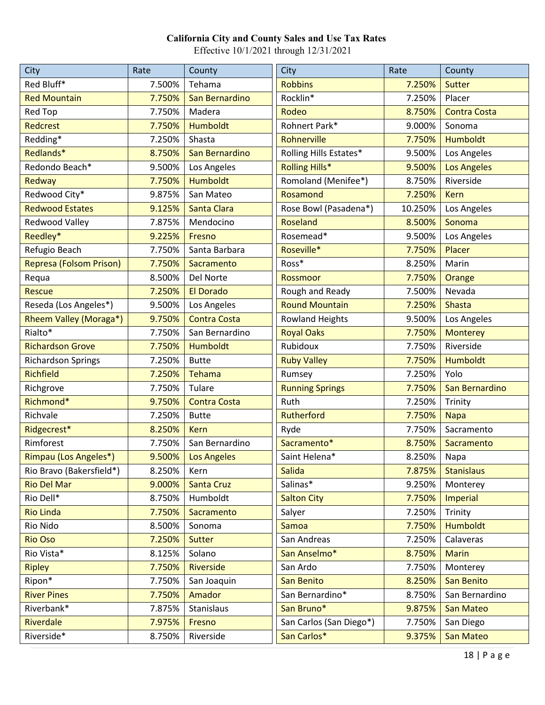| City                           | Rate   | County              | City                    | Rate    | County              |
|--------------------------------|--------|---------------------|-------------------------|---------|---------------------|
| Red Bluff*                     | 7.500% | Tehama              | <b>Robbins</b>          | 7.250%  | <b>Sutter</b>       |
| <b>Red Mountain</b>            | 7.750% | San Bernardino      | Rocklin*                | 7.250%  | Placer              |
| Red Top                        | 7.750% | Madera              | Rodeo                   | 8.750%  | <b>Contra Costa</b> |
| <b>Redcrest</b>                | 7.750% | Humboldt            | Rohnert Park*           | 9.000%  | Sonoma              |
| Redding*                       | 7.250% | Shasta              | Rohnerville             | 7.750%  | <b>Humboldt</b>     |
| Redlands*                      | 8.750% | San Bernardino      | Rolling Hills Estates*  | 9.500%  | Los Angeles         |
| Redondo Beach*                 | 9.500% | Los Angeles         | <b>Rolling Hills*</b>   | 9.500%  | <b>Los Angeles</b>  |
| Redway                         | 7.750% | <b>Humboldt</b>     | Romoland (Menifee*)     | 8.750%  | Riverside           |
| Redwood City*                  | 9.875% | San Mateo           | Rosamond                | 7.250%  | <b>Kern</b>         |
| <b>Redwood Estates</b>         | 9.125% | Santa Clara         | Rose Bowl (Pasadena*)   | 10.250% | Los Angeles         |
| <b>Redwood Valley</b>          | 7.875% | Mendocino           | <b>Roseland</b>         | 8.500%  | Sonoma              |
| Reedley*                       | 9.225% | Fresno              | Rosemead*               | 9.500%  | Los Angeles         |
| Refugio Beach                  | 7.750% | Santa Barbara       | Roseville*              | 7.750%  | Placer              |
| <b>Represa (Folsom Prison)</b> | 7.750% | Sacramento          | Ross*                   | 8.250%  | Marin               |
| Requa                          | 8.500% | Del Norte           | Rossmoor                | 7.750%  | Orange              |
| <b>Rescue</b>                  | 7.250% | <b>El Dorado</b>    | Rough and Ready         | 7.500%  | Nevada              |
| Reseda (Los Angeles*)          | 9.500% | Los Angeles         | <b>Round Mountain</b>   | 7.250%  | Shasta              |
| Rheem Valley (Moraga*)         | 9.750% | <b>Contra Costa</b> | <b>Rowland Heights</b>  | 9.500%  | Los Angeles         |
| Rialto*                        | 7.750% | San Bernardino      | <b>Royal Oaks</b>       | 7.750%  | <b>Monterey</b>     |
| <b>Richardson Grove</b>        | 7.750% | <b>Humboldt</b>     | Rubidoux                | 7.750%  | Riverside           |
| <b>Richardson Springs</b>      | 7.250% | <b>Butte</b>        | <b>Ruby Valley</b>      | 7.750%  | <b>Humboldt</b>     |
| <b>Richfield</b>               | 7.250% | Tehama              | Rumsey                  | 7.250%  | Yolo                |
| Richgrove                      | 7.750% | Tulare              | <b>Running Springs</b>  | 7.750%  | San Bernardino      |
| Richmond*                      | 9.750% | <b>Contra Costa</b> | Ruth                    | 7.250%  | Trinity             |
| Richvale                       | 7.250% | <b>Butte</b>        | Rutherford              | 7.750%  | <b>Napa</b>         |
| Ridgecrest*                    | 8.250% | <b>Kern</b>         | Ryde                    | 7.750%  | Sacramento          |
| Rimforest                      | 7.750% | San Bernardino      | Sacramento*             | 8.750%  | Sacramento          |
| Rimpau (Los Angeles*)          | 9.500% | <b>Los Angeles</b>  | Saint Helena*           | 8.250%  | Napa                |
| Rio Bravo (Bakersfield*)       | 8.250% | Kern                | <b>Salida</b>           | 7.875%  | <b>Stanislaus</b>   |
| <b>Rio Del Mar</b>             | 9.000% | <b>Santa Cruz</b>   | Salinas*                | 9.250%  | Monterey            |
| Rio Dell*                      | 8.750% | Humboldt            | <b>Salton City</b>      | 7.750%  | <b>Imperial</b>     |
| <b>Rio Linda</b>               | 7.750% | Sacramento          | Salyer                  | 7.250%  | Trinity             |
| Rio Nido                       | 8.500% | Sonoma              | Samoa                   | 7.750%  | <b>Humboldt</b>     |
| <b>Rio Oso</b>                 | 7.250% | <b>Sutter</b>       | San Andreas             | 7.250%  | Calaveras           |
| Rio Vista*                     | 8.125% | Solano              | San Anselmo*            | 8.750%  | <b>Marin</b>        |
| <b>Ripley</b>                  | 7.750% | Riverside           | San Ardo                | 7.750%  | Monterey            |
| Ripon*                         | 7.750% | San Joaquin         | San Benito              | 8.250%  | San Benito          |
| <b>River Pines</b>             | 7.750% | Amador              | San Bernardino*         | 8.750%  | San Bernardino      |
| Riverbank*                     | 7.875% | Stanislaus          | San Bruno*              | 9.875%  | San Mateo           |
| Riverdale                      | 7.975% | Fresno              | San Carlos (San Diego*) | 7.750%  | San Diego           |
| Riverside*                     | 8.750% | Riverside           | San Carlos*             | 9.375%  | San Mateo           |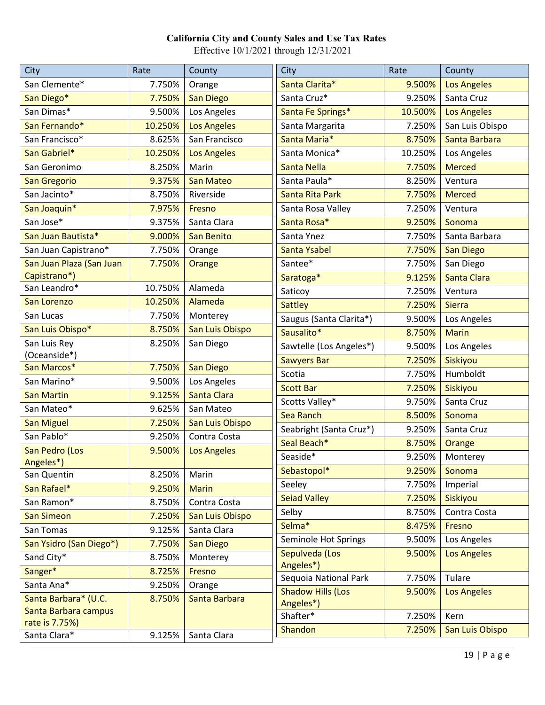| City                        | Rate    | County             | City                     | Rate    | County             |
|-----------------------------|---------|--------------------|--------------------------|---------|--------------------|
| San Clemente*               | 7.750%  | Orange             | Santa Clarita*           | 9.500%  | <b>Los Angeles</b> |
| San Diego*                  | 7.750%  | <b>San Diego</b>   | Santa Cruz*              | 9.250%  | Santa Cruz         |
| San Dimas*                  | 9.500%  | Los Angeles        | Santa Fe Springs*        | 10.500% | <b>Los Angeles</b> |
| San Fernando*               | 10.250% | <b>Los Angeles</b> | Santa Margarita          | 7.250%  | San Luis Obispo    |
| San Francisco*              | 8.625%  | San Francisco      | Santa Maria*             | 8.750%  | Santa Barbara      |
| San Gabriel*                | 10.250% | <b>Los Angeles</b> | Santa Monica*            | 10.250% | Los Angeles        |
| San Geronimo                | 8.250%  | Marin              | Santa Nella              | 7.750%  | <b>Merced</b>      |
| San Gregorio                | 9.375%  | <b>San Mateo</b>   | Santa Paula*             | 8.250%  | Ventura            |
| San Jacinto*                | 8.750%  | Riverside          | Santa Rita Park          | 7.750%  | <b>Merced</b>      |
| San Joaquin*                | 7.975%  | Fresno             | Santa Rosa Valley        | 7.250%  | Ventura            |
| San Jose*                   | 9.375%  | Santa Clara        | Santa Rosa*              | 9.250%  | Sonoma             |
| San Juan Bautista*          | 9.000%  | San Benito         | Santa Ynez               | 7.750%  | Santa Barbara      |
| San Juan Capistrano*        | 7.750%  | Orange             | Santa Ysabel             | 7.750%  | <b>San Diego</b>   |
| San Juan Plaza (San Juan    | 7.750%  | Orange             | Santee*                  | 7.750%  | San Diego          |
| Capistrano*)                |         |                    | Saratoga*                | 9.125%  | Santa Clara        |
| San Leandro*                | 10.750% | Alameda            | Saticoy                  | 7.250%  | Ventura            |
| San Lorenzo                 | 10.250% | Alameda            | <b>Sattley</b>           | 7.250%  | <b>Sierra</b>      |
| San Lucas                   | 7.750%  | Monterey           | Saugus (Santa Clarita*)  | 9.500%  | Los Angeles        |
| San Luis Obispo*            | 8.750%  | San Luis Obispo    | Sausalito*               | 8.750%  | <b>Marin</b>       |
| San Luis Rey                | 8.250%  | San Diego          | Sawtelle (Los Angeles*)  | 9.500%  | Los Angeles        |
| (Oceanside*)                |         |                    | <b>Sawyers Bar</b>       | 7.250%  | Siskiyou           |
| San Marcos*                 | 7.750%  | San Diego          | Scotia                   | 7.750%  | Humboldt           |
| San Marino*                 | 9.500%  | Los Angeles        | <b>Scott Bar</b>         | 7.250%  | Siskiyou           |
| <b>San Martin</b>           | 9.125%  | Santa Clara        | Scotts Valley*           | 9.750%  | Santa Cruz         |
| San Mateo*                  | 9.625%  | San Mateo          | <b>Sea Ranch</b>         | 8.500%  | Sonoma             |
| <b>San Miguel</b>           | 7.250%  | San Luis Obispo    | Seabright (Santa Cruz*)  | 9.250%  | Santa Cruz         |
| San Pablo*                  | 9.250%  | Contra Costa       | Seal Beach*              | 8.750%  | Orange             |
| San Pedro (Los<br>Angeles*) | 9.500%  | <b>Los Angeles</b> | Seaside*                 | 9.250%  | Monterey           |
| San Quentin                 | 8.250%  | Marin              | Sebastopol*              | 9.250%  | Sonoma             |
| San Rafael*                 | 9.250%  | <b>Marin</b>       | Seeley                   | 7.750%  | Imperial           |
| San Ramon*                  | 8.750%  | Contra Costa       | <b>Seiad Valley</b>      | 7.250%  | Siskiyou           |
| <b>San Simeon</b>           | 7.250%  | San Luis Obispo    | Selby                    | 8.750%  | Contra Costa       |
| San Tomas                   | 9.125%  | Santa Clara        | Selma*                   | 8.475%  | Fresno             |
| San Ysidro (San Diego*)     | 7.750%  | <b>San Diego</b>   | Seminole Hot Springs     | 9.500%  | Los Angeles        |
| Sand City*                  | 8.750%  | Monterey           | Sepulveda (Los           | 9.500%  | <b>Los Angeles</b> |
| Sanger*                     | 8.725%  | Fresno             | Angeles*)                |         |                    |
| Santa Ana*                  | 9.250%  | Orange             | Sequoia National Park    | 7.750%  | Tulare             |
| Santa Barbara* (U.C.        | 8.750%  | Santa Barbara      | <b>Shadow Hills (Los</b> | 9.500%  | <b>Los Angeles</b> |
| Santa Barbara campus        |         |                    | Angeles*)                |         |                    |
| rate is 7.75%)              |         |                    | Shafter*                 | 7.250%  | Kern               |
| Santa Clara*                | 9.125%  | Santa Clara        | Shandon                  | 7.250%  | San Luis Obispo    |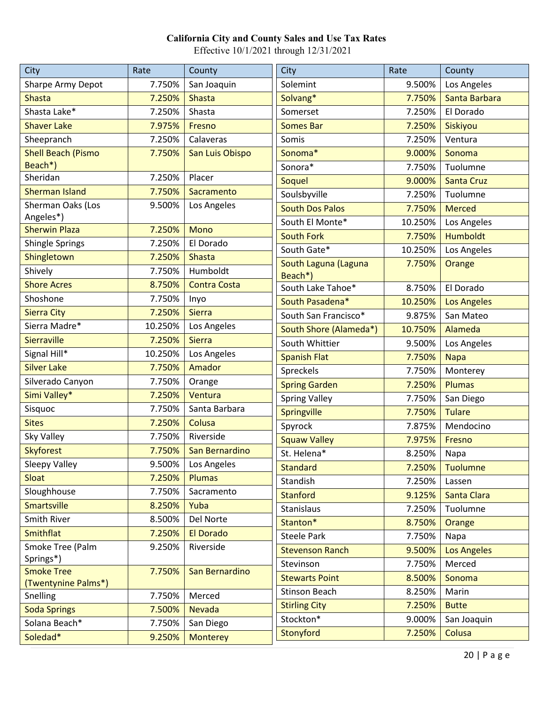| City                      | Rate    | County              | <b>City</b>            | Rate    | County             |
|---------------------------|---------|---------------------|------------------------|---------|--------------------|
| Sharpe Army Depot         | 7.750%  | San Joaquin         | Solemint               | 9.500%  | Los Angeles        |
| <b>Shasta</b>             | 7.250%  | <b>Shasta</b>       | Solvang*               | 7.750%  | Santa Barbara      |
| Shasta Lake*              | 7.250%  | Shasta              | Somerset               | 7.250%  | El Dorado          |
| <b>Shaver Lake</b>        | 7.975%  | Fresno              | <b>Somes Bar</b>       | 7.250%  | Siskiyou           |
| Sheepranch                | 7.250%  | Calaveras           | Somis                  | 7.250%  | Ventura            |
| <b>Shell Beach (Pismo</b> | 7.750%  | San Luis Obispo     | Sonoma*                | 9.000%  | Sonoma             |
| Beach*)                   |         |                     | Sonora*                | 7.750%  | Tuolumne           |
| Sheridan                  | 7.250%  | Placer              | <b>Soquel</b>          | 9.000%  | <b>Santa Cruz</b>  |
| <b>Sherman Island</b>     | 7.750%  | Sacramento          | Soulsbyville           | 7.250%  | Tuolumne           |
| Sherman Oaks (Los         | 9.500%  | Los Angeles         | <b>South Dos Palos</b> | 7.750%  | <b>Merced</b>      |
| Angeles*)                 |         |                     | South El Monte*        | 10.250% | Los Angeles        |
| <b>Sherwin Plaza</b>      | 7.250%  | Mono                | <b>South Fork</b>      | 7.750%  | <b>Humboldt</b>    |
| Shingle Springs           | 7.250%  | El Dorado           | South Gate*            | 10.250% | Los Angeles        |
| Shingletown               | 7.250%  | <b>Shasta</b>       | South Laguna (Laguna   | 7.750%  | Orange             |
| Shively                   | 7.750%  | Humboldt            | Beach*)                |         |                    |
| <b>Shore Acres</b>        | 8.750%  | <b>Contra Costa</b> | South Lake Tahoe*      | 8.750%  | El Dorado          |
| Shoshone                  | 7.750%  | Inyo                | South Pasadena*        | 10.250% | <b>Los Angeles</b> |
| <b>Sierra City</b>        | 7.250%  | <b>Sierra</b>       | South San Francisco*   | 9.875%  | San Mateo          |
| Sierra Madre*             | 10.250% | Los Angeles         | South Shore (Alameda*) | 10.750% | Alameda            |
| Sierraville               | 7.250%  | <b>Sierra</b>       | South Whittier         | 9.500%  | Los Angeles        |
| Signal Hill*              | 10.250% | Los Angeles         | <b>Spanish Flat</b>    | 7.750%  | <b>Napa</b>        |
| <b>Silver Lake</b>        | 7.750%  | Amador              | Spreckels              | 7.750%  | Monterey           |
| Silverado Canyon          | 7.750%  | Orange              | <b>Spring Garden</b>   | 7.250%  | <b>Plumas</b>      |
| Simi Valley*              | 7.250%  | Ventura             | <b>Spring Valley</b>   | 7.750%  | San Diego          |
| Sisquoc                   | 7.750%  | Santa Barbara       | Springville            | 7.750%  | <b>Tulare</b>      |
| <b>Sites</b>              | 7.250%  | Colusa              | Spyrock                | 7.875%  | Mendocino          |
| Sky Valley                | 7.750%  | Riverside           | <b>Squaw Valley</b>    | 7.975%  | Fresno             |
| <b>Skyforest</b>          | 7.750%  | San Bernardino      | St. Helena*            | 8.250%  | Napa               |
| Sleepy Valley             | 9.500%  | Los Angeles         | <b>Standard</b>        | 7.250%  | <b>Tuolumne</b>    |
| Sloat                     | 7.250%  | <b>Plumas</b>       | Standish               | 7.250%  | Lassen             |
| Sloughhouse               | 7.750%  | Sacramento          | <b>Stanford</b>        | 9.125%  | Santa Clara        |
| <b>Smartsville</b>        | 8.250%  | Yuba                | <b>Stanislaus</b>      | 7.250%  | Tuolumne           |
| Smith River               | 8.500%  | Del Norte           | Stanton*               | 8.750%  | Orange             |
| Smithflat                 | 7.250%  | El Dorado           | <b>Steele Park</b>     | 7.750%  | Napa               |
| Smoke Tree (Palm          | 9.250%  | Riverside           | <b>Stevenson Ranch</b> | 9.500%  | <b>Los Angeles</b> |
| Springs*)                 |         |                     | Stevinson              | 7.750%  | Merced             |
| <b>Smoke Tree</b>         | 7.750%  | San Bernardino      | <b>Stewarts Point</b>  | 8.500%  | Sonoma             |
| (Twentynine Palms*)       |         |                     | <b>Stinson Beach</b>   | 8.250%  | Marin              |
| Snelling                  | 7.750%  | Merced              | <b>Stirling City</b>   | 7.250%  | <b>Butte</b>       |
| <b>Soda Springs</b>       | 7.500%  | Nevada              | Stockton*              | 9.000%  | San Joaquin        |
| Solana Beach*             | 7.750%  | San Diego           | Stonyford              | 7.250%  | Colusa             |
| Soledad*                  | 9.250%  | <b>Monterey</b>     |                        |         |                    |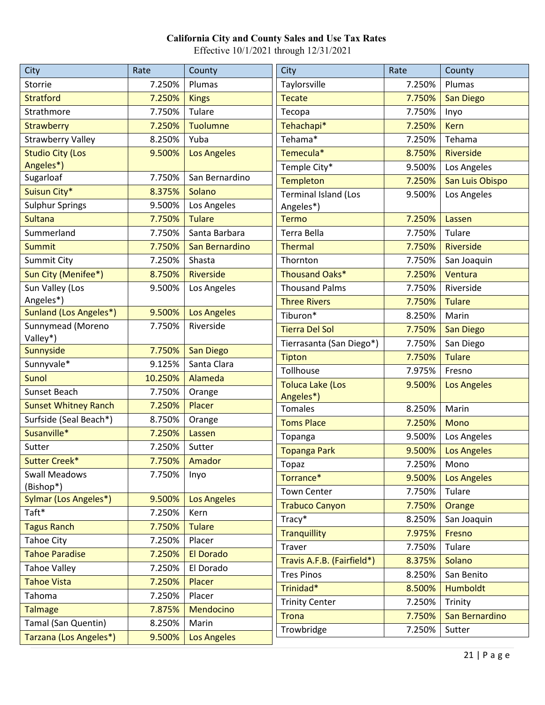| Taylorsville<br>7.250%<br>Plumas<br>7.250%<br>Plumas<br>Storrie<br><b>Stratford</b><br>7.250%<br><b>Tecate</b><br>7.750%<br>San Diego<br><b>Kings</b><br>Strathmore<br>7.750%<br>Tulare<br>7.750%<br>Tecopa<br>Inyo<br>Tehachapi*<br><b>Strawberry</b><br>7.250%<br><b>Tuolumne</b><br>7.250%<br><b>Kern</b><br>Tehama*<br><b>Strawberry Valley</b><br>8.250%<br>Yuba<br>7.250%<br>Tehama<br><b>Studio City (Los</b><br>Temecula*<br>9.500%<br><b>Los Angeles</b><br>8.750%<br><b>Riverside</b><br>Angeles*)<br>Temple City*<br>9.500%<br>Los Angeles<br>Sugarloaf<br>7.750%<br>San Bernardino<br><b>Templeton</b><br>7.250%<br>San Luis Obispo<br>Suisun City*<br>8.375%<br>Solano<br><b>Terminal Island (Los</b><br>Los Angeles<br>9.500%<br><b>Sulphur Springs</b><br>9.500%<br>Los Angeles<br>Angeles*)<br><b>Sultana</b><br><b>Tulare</b><br>7.750%<br><b>Termo</b><br>7.250%<br>Lassen<br>Summerland<br>7.750%<br>Santa Barbara<br>Terra Bella<br>7.750%<br>Tulare<br>Riverside<br><b>Summit</b><br>7.750%<br>San Bernardino<br><b>Thermal</b><br>7.750%<br><b>Summit City</b><br>7.250%<br>7.750%<br>Shasta<br>Thornton<br>San Joaquin<br>Sun City (Menifee*)<br>Thousand Oaks*<br>8.750%<br><b>Riverside</b><br>7.250%<br>Ventura<br>Sun Valley (Los<br><b>Thousand Palms</b><br>Riverside<br>Los Angeles<br>7.750%<br>9.500%<br>Angeles*)<br><b>Three Rivers</b><br>7.750%<br><b>Tulare</b><br>Sunland (Los Angeles*)<br>9.500%<br><b>Los Angeles</b><br>Tiburon*<br>8.250%<br>Marin<br>Sunnymead (Moreno<br>Riverside<br>7.750%<br><b>Tierra Del Sol</b><br>7.750%<br><b>San Diego</b><br>Valley*)<br>Tierrasanta (San Diego*)<br>7.750%<br>San Diego<br>Sunnyside<br>7.750%<br><b>San Diego</b><br>7.750%<br><b>Tulare</b><br><b>Tipton</b><br>Sunnyvale*<br>Santa Clara<br>9.125%<br>Tollhouse<br>7.975%<br>Fresno<br>10.250%<br><b>Sunol</b><br>Alameda<br><b>Toluca Lake (Los</b><br>9.500%<br><b>Los Angeles</b><br>Sunset Beach<br>7.750%<br>Orange<br>Angeles*)<br><b>Sunset Whitney Ranch</b><br>7.250%<br>Placer<br><b>Tomales</b><br>8.250%<br>Marin<br>Surfside (Seal Beach*)<br>8.750%<br>Orange<br><b>Toms Place</b><br>7.250%<br><b>Mono</b><br>Susanville*<br>7.250%<br>Lassen<br>9.500%<br>Los Angeles<br>Topanga<br>Sutter<br>7.250%<br>Sutter<br><b>Topanga Park</b><br>9.500%<br><b>Los Angeles</b><br><b>Sutter Creek*</b><br>7.750%<br>Amador<br>Topaz<br>7.250%<br>Mono<br>7.750%<br><b>Swall Meadows</b><br>Inyo<br>Torrance*<br>9.500%<br><b>Los Angeles</b><br>(Bishop*)<br><b>Town Center</b><br>7.750%<br>Tulare<br><b>Sylmar (Los Angeles*)</b><br>9.500%<br><b>Los Angeles</b><br><b>Trabuco Canyon</b><br>7.750%<br><b>Orange</b><br>Taft*<br>7.250%<br>Kern<br>Tracy*<br>8.250%<br>San Joaquin<br><b>Tagus Ranch</b><br>7.750%<br><b>Tulare</b><br><b>Tranquillity</b><br>7.975%<br>Fresno<br><b>Tahoe City</b><br>7.250%<br>Placer<br>Traver<br>7.750%<br>Tulare<br><b>Tahoe Paradise</b><br>7.250%<br>El Dorado<br>Travis A.F.B. (Fairfield*)<br>Solano<br>8.375%<br><b>Tahoe Valley</b><br>El Dorado<br>7.250%<br><b>Tres Pinos</b><br>8.250%<br>San Benito<br><b>Tahoe Vista</b><br>7.250%<br>Placer<br>Trinidad*<br>8.500%<br><b>Humboldt</b> | City   | Rate   | County | <b>City</b> | Rate | County |
|---------------------------------------------------------------------------------------------------------------------------------------------------------------------------------------------------------------------------------------------------------------------------------------------------------------------------------------------------------------------------------------------------------------------------------------------------------------------------------------------------------------------------------------------------------------------------------------------------------------------------------------------------------------------------------------------------------------------------------------------------------------------------------------------------------------------------------------------------------------------------------------------------------------------------------------------------------------------------------------------------------------------------------------------------------------------------------------------------------------------------------------------------------------------------------------------------------------------------------------------------------------------------------------------------------------------------------------------------------------------------------------------------------------------------------------------------------------------------------------------------------------------------------------------------------------------------------------------------------------------------------------------------------------------------------------------------------------------------------------------------------------------------------------------------------------------------------------------------------------------------------------------------------------------------------------------------------------------------------------------------------------------------------------------------------------------------------------------------------------------------------------------------------------------------------------------------------------------------------------------------------------------------------------------------------------------------------------------------------------------------------------------------------------------------------------------------------------------------------------------------------------------------------------------------------------------------------------------------------------------------------------------------------------------------------------------------------------------------------------------------------------------------------------------------------------------------------------------------------------------------------------------------------------------------------------------------------------------------------------------------------------------------------------------------------------------------------------------------------------------------------------------------------------------------------------------|--------|--------|--------|-------------|------|--------|
|                                                                                                                                                                                                                                                                                                                                                                                                                                                                                                                                                                                                                                                                                                                                                                                                                                                                                                                                                                                                                                                                                                                                                                                                                                                                                                                                                                                                                                                                                                                                                                                                                                                                                                                                                                                                                                                                                                                                                                                                                                                                                                                                                                                                                                                                                                                                                                                                                                                                                                                                                                                                                                                                                                                                                                                                                                                                                                                                                                                                                                                                                                                                                                                             |        |        |        |             |      |        |
|                                                                                                                                                                                                                                                                                                                                                                                                                                                                                                                                                                                                                                                                                                                                                                                                                                                                                                                                                                                                                                                                                                                                                                                                                                                                                                                                                                                                                                                                                                                                                                                                                                                                                                                                                                                                                                                                                                                                                                                                                                                                                                                                                                                                                                                                                                                                                                                                                                                                                                                                                                                                                                                                                                                                                                                                                                                                                                                                                                                                                                                                                                                                                                                             |        |        |        |             |      |        |
|                                                                                                                                                                                                                                                                                                                                                                                                                                                                                                                                                                                                                                                                                                                                                                                                                                                                                                                                                                                                                                                                                                                                                                                                                                                                                                                                                                                                                                                                                                                                                                                                                                                                                                                                                                                                                                                                                                                                                                                                                                                                                                                                                                                                                                                                                                                                                                                                                                                                                                                                                                                                                                                                                                                                                                                                                                                                                                                                                                                                                                                                                                                                                                                             |        |        |        |             |      |        |
|                                                                                                                                                                                                                                                                                                                                                                                                                                                                                                                                                                                                                                                                                                                                                                                                                                                                                                                                                                                                                                                                                                                                                                                                                                                                                                                                                                                                                                                                                                                                                                                                                                                                                                                                                                                                                                                                                                                                                                                                                                                                                                                                                                                                                                                                                                                                                                                                                                                                                                                                                                                                                                                                                                                                                                                                                                                                                                                                                                                                                                                                                                                                                                                             |        |        |        |             |      |        |
|                                                                                                                                                                                                                                                                                                                                                                                                                                                                                                                                                                                                                                                                                                                                                                                                                                                                                                                                                                                                                                                                                                                                                                                                                                                                                                                                                                                                                                                                                                                                                                                                                                                                                                                                                                                                                                                                                                                                                                                                                                                                                                                                                                                                                                                                                                                                                                                                                                                                                                                                                                                                                                                                                                                                                                                                                                                                                                                                                                                                                                                                                                                                                                                             |        |        |        |             |      |        |
|                                                                                                                                                                                                                                                                                                                                                                                                                                                                                                                                                                                                                                                                                                                                                                                                                                                                                                                                                                                                                                                                                                                                                                                                                                                                                                                                                                                                                                                                                                                                                                                                                                                                                                                                                                                                                                                                                                                                                                                                                                                                                                                                                                                                                                                                                                                                                                                                                                                                                                                                                                                                                                                                                                                                                                                                                                                                                                                                                                                                                                                                                                                                                                                             |        |        |        |             |      |        |
|                                                                                                                                                                                                                                                                                                                                                                                                                                                                                                                                                                                                                                                                                                                                                                                                                                                                                                                                                                                                                                                                                                                                                                                                                                                                                                                                                                                                                                                                                                                                                                                                                                                                                                                                                                                                                                                                                                                                                                                                                                                                                                                                                                                                                                                                                                                                                                                                                                                                                                                                                                                                                                                                                                                                                                                                                                                                                                                                                                                                                                                                                                                                                                                             |        |        |        |             |      |        |
|                                                                                                                                                                                                                                                                                                                                                                                                                                                                                                                                                                                                                                                                                                                                                                                                                                                                                                                                                                                                                                                                                                                                                                                                                                                                                                                                                                                                                                                                                                                                                                                                                                                                                                                                                                                                                                                                                                                                                                                                                                                                                                                                                                                                                                                                                                                                                                                                                                                                                                                                                                                                                                                                                                                                                                                                                                                                                                                                                                                                                                                                                                                                                                                             |        |        |        |             |      |        |
|                                                                                                                                                                                                                                                                                                                                                                                                                                                                                                                                                                                                                                                                                                                                                                                                                                                                                                                                                                                                                                                                                                                                                                                                                                                                                                                                                                                                                                                                                                                                                                                                                                                                                                                                                                                                                                                                                                                                                                                                                                                                                                                                                                                                                                                                                                                                                                                                                                                                                                                                                                                                                                                                                                                                                                                                                                                                                                                                                                                                                                                                                                                                                                                             |        |        |        |             |      |        |
|                                                                                                                                                                                                                                                                                                                                                                                                                                                                                                                                                                                                                                                                                                                                                                                                                                                                                                                                                                                                                                                                                                                                                                                                                                                                                                                                                                                                                                                                                                                                                                                                                                                                                                                                                                                                                                                                                                                                                                                                                                                                                                                                                                                                                                                                                                                                                                                                                                                                                                                                                                                                                                                                                                                                                                                                                                                                                                                                                                                                                                                                                                                                                                                             |        |        |        |             |      |        |
|                                                                                                                                                                                                                                                                                                                                                                                                                                                                                                                                                                                                                                                                                                                                                                                                                                                                                                                                                                                                                                                                                                                                                                                                                                                                                                                                                                                                                                                                                                                                                                                                                                                                                                                                                                                                                                                                                                                                                                                                                                                                                                                                                                                                                                                                                                                                                                                                                                                                                                                                                                                                                                                                                                                                                                                                                                                                                                                                                                                                                                                                                                                                                                                             |        |        |        |             |      |        |
|                                                                                                                                                                                                                                                                                                                                                                                                                                                                                                                                                                                                                                                                                                                                                                                                                                                                                                                                                                                                                                                                                                                                                                                                                                                                                                                                                                                                                                                                                                                                                                                                                                                                                                                                                                                                                                                                                                                                                                                                                                                                                                                                                                                                                                                                                                                                                                                                                                                                                                                                                                                                                                                                                                                                                                                                                                                                                                                                                                                                                                                                                                                                                                                             |        |        |        |             |      |        |
|                                                                                                                                                                                                                                                                                                                                                                                                                                                                                                                                                                                                                                                                                                                                                                                                                                                                                                                                                                                                                                                                                                                                                                                                                                                                                                                                                                                                                                                                                                                                                                                                                                                                                                                                                                                                                                                                                                                                                                                                                                                                                                                                                                                                                                                                                                                                                                                                                                                                                                                                                                                                                                                                                                                                                                                                                                                                                                                                                                                                                                                                                                                                                                                             |        |        |        |             |      |        |
|                                                                                                                                                                                                                                                                                                                                                                                                                                                                                                                                                                                                                                                                                                                                                                                                                                                                                                                                                                                                                                                                                                                                                                                                                                                                                                                                                                                                                                                                                                                                                                                                                                                                                                                                                                                                                                                                                                                                                                                                                                                                                                                                                                                                                                                                                                                                                                                                                                                                                                                                                                                                                                                                                                                                                                                                                                                                                                                                                                                                                                                                                                                                                                                             |        |        |        |             |      |        |
|                                                                                                                                                                                                                                                                                                                                                                                                                                                                                                                                                                                                                                                                                                                                                                                                                                                                                                                                                                                                                                                                                                                                                                                                                                                                                                                                                                                                                                                                                                                                                                                                                                                                                                                                                                                                                                                                                                                                                                                                                                                                                                                                                                                                                                                                                                                                                                                                                                                                                                                                                                                                                                                                                                                                                                                                                                                                                                                                                                                                                                                                                                                                                                                             |        |        |        |             |      |        |
|                                                                                                                                                                                                                                                                                                                                                                                                                                                                                                                                                                                                                                                                                                                                                                                                                                                                                                                                                                                                                                                                                                                                                                                                                                                                                                                                                                                                                                                                                                                                                                                                                                                                                                                                                                                                                                                                                                                                                                                                                                                                                                                                                                                                                                                                                                                                                                                                                                                                                                                                                                                                                                                                                                                                                                                                                                                                                                                                                                                                                                                                                                                                                                                             |        |        |        |             |      |        |
|                                                                                                                                                                                                                                                                                                                                                                                                                                                                                                                                                                                                                                                                                                                                                                                                                                                                                                                                                                                                                                                                                                                                                                                                                                                                                                                                                                                                                                                                                                                                                                                                                                                                                                                                                                                                                                                                                                                                                                                                                                                                                                                                                                                                                                                                                                                                                                                                                                                                                                                                                                                                                                                                                                                                                                                                                                                                                                                                                                                                                                                                                                                                                                                             |        |        |        |             |      |        |
|                                                                                                                                                                                                                                                                                                                                                                                                                                                                                                                                                                                                                                                                                                                                                                                                                                                                                                                                                                                                                                                                                                                                                                                                                                                                                                                                                                                                                                                                                                                                                                                                                                                                                                                                                                                                                                                                                                                                                                                                                                                                                                                                                                                                                                                                                                                                                                                                                                                                                                                                                                                                                                                                                                                                                                                                                                                                                                                                                                                                                                                                                                                                                                                             |        |        |        |             |      |        |
|                                                                                                                                                                                                                                                                                                                                                                                                                                                                                                                                                                                                                                                                                                                                                                                                                                                                                                                                                                                                                                                                                                                                                                                                                                                                                                                                                                                                                                                                                                                                                                                                                                                                                                                                                                                                                                                                                                                                                                                                                                                                                                                                                                                                                                                                                                                                                                                                                                                                                                                                                                                                                                                                                                                                                                                                                                                                                                                                                                                                                                                                                                                                                                                             |        |        |        |             |      |        |
|                                                                                                                                                                                                                                                                                                                                                                                                                                                                                                                                                                                                                                                                                                                                                                                                                                                                                                                                                                                                                                                                                                                                                                                                                                                                                                                                                                                                                                                                                                                                                                                                                                                                                                                                                                                                                                                                                                                                                                                                                                                                                                                                                                                                                                                                                                                                                                                                                                                                                                                                                                                                                                                                                                                                                                                                                                                                                                                                                                                                                                                                                                                                                                                             |        |        |        |             |      |        |
|                                                                                                                                                                                                                                                                                                                                                                                                                                                                                                                                                                                                                                                                                                                                                                                                                                                                                                                                                                                                                                                                                                                                                                                                                                                                                                                                                                                                                                                                                                                                                                                                                                                                                                                                                                                                                                                                                                                                                                                                                                                                                                                                                                                                                                                                                                                                                                                                                                                                                                                                                                                                                                                                                                                                                                                                                                                                                                                                                                                                                                                                                                                                                                                             |        |        |        |             |      |        |
|                                                                                                                                                                                                                                                                                                                                                                                                                                                                                                                                                                                                                                                                                                                                                                                                                                                                                                                                                                                                                                                                                                                                                                                                                                                                                                                                                                                                                                                                                                                                                                                                                                                                                                                                                                                                                                                                                                                                                                                                                                                                                                                                                                                                                                                                                                                                                                                                                                                                                                                                                                                                                                                                                                                                                                                                                                                                                                                                                                                                                                                                                                                                                                                             |        |        |        |             |      |        |
|                                                                                                                                                                                                                                                                                                                                                                                                                                                                                                                                                                                                                                                                                                                                                                                                                                                                                                                                                                                                                                                                                                                                                                                                                                                                                                                                                                                                                                                                                                                                                                                                                                                                                                                                                                                                                                                                                                                                                                                                                                                                                                                                                                                                                                                                                                                                                                                                                                                                                                                                                                                                                                                                                                                                                                                                                                                                                                                                                                                                                                                                                                                                                                                             |        |        |        |             |      |        |
|                                                                                                                                                                                                                                                                                                                                                                                                                                                                                                                                                                                                                                                                                                                                                                                                                                                                                                                                                                                                                                                                                                                                                                                                                                                                                                                                                                                                                                                                                                                                                                                                                                                                                                                                                                                                                                                                                                                                                                                                                                                                                                                                                                                                                                                                                                                                                                                                                                                                                                                                                                                                                                                                                                                                                                                                                                                                                                                                                                                                                                                                                                                                                                                             |        |        |        |             |      |        |
|                                                                                                                                                                                                                                                                                                                                                                                                                                                                                                                                                                                                                                                                                                                                                                                                                                                                                                                                                                                                                                                                                                                                                                                                                                                                                                                                                                                                                                                                                                                                                                                                                                                                                                                                                                                                                                                                                                                                                                                                                                                                                                                                                                                                                                                                                                                                                                                                                                                                                                                                                                                                                                                                                                                                                                                                                                                                                                                                                                                                                                                                                                                                                                                             |        |        |        |             |      |        |
|                                                                                                                                                                                                                                                                                                                                                                                                                                                                                                                                                                                                                                                                                                                                                                                                                                                                                                                                                                                                                                                                                                                                                                                                                                                                                                                                                                                                                                                                                                                                                                                                                                                                                                                                                                                                                                                                                                                                                                                                                                                                                                                                                                                                                                                                                                                                                                                                                                                                                                                                                                                                                                                                                                                                                                                                                                                                                                                                                                                                                                                                                                                                                                                             |        |        |        |             |      |        |
|                                                                                                                                                                                                                                                                                                                                                                                                                                                                                                                                                                                                                                                                                                                                                                                                                                                                                                                                                                                                                                                                                                                                                                                                                                                                                                                                                                                                                                                                                                                                                                                                                                                                                                                                                                                                                                                                                                                                                                                                                                                                                                                                                                                                                                                                                                                                                                                                                                                                                                                                                                                                                                                                                                                                                                                                                                                                                                                                                                                                                                                                                                                                                                                             |        |        |        |             |      |        |
|                                                                                                                                                                                                                                                                                                                                                                                                                                                                                                                                                                                                                                                                                                                                                                                                                                                                                                                                                                                                                                                                                                                                                                                                                                                                                                                                                                                                                                                                                                                                                                                                                                                                                                                                                                                                                                                                                                                                                                                                                                                                                                                                                                                                                                                                                                                                                                                                                                                                                                                                                                                                                                                                                                                                                                                                                                                                                                                                                                                                                                                                                                                                                                                             |        |        |        |             |      |        |
|                                                                                                                                                                                                                                                                                                                                                                                                                                                                                                                                                                                                                                                                                                                                                                                                                                                                                                                                                                                                                                                                                                                                                                                                                                                                                                                                                                                                                                                                                                                                                                                                                                                                                                                                                                                                                                                                                                                                                                                                                                                                                                                                                                                                                                                                                                                                                                                                                                                                                                                                                                                                                                                                                                                                                                                                                                                                                                                                                                                                                                                                                                                                                                                             |        |        |        |             |      |        |
|                                                                                                                                                                                                                                                                                                                                                                                                                                                                                                                                                                                                                                                                                                                                                                                                                                                                                                                                                                                                                                                                                                                                                                                                                                                                                                                                                                                                                                                                                                                                                                                                                                                                                                                                                                                                                                                                                                                                                                                                                                                                                                                                                                                                                                                                                                                                                                                                                                                                                                                                                                                                                                                                                                                                                                                                                                                                                                                                                                                                                                                                                                                                                                                             |        |        |        |             |      |        |
|                                                                                                                                                                                                                                                                                                                                                                                                                                                                                                                                                                                                                                                                                                                                                                                                                                                                                                                                                                                                                                                                                                                                                                                                                                                                                                                                                                                                                                                                                                                                                                                                                                                                                                                                                                                                                                                                                                                                                                                                                                                                                                                                                                                                                                                                                                                                                                                                                                                                                                                                                                                                                                                                                                                                                                                                                                                                                                                                                                                                                                                                                                                                                                                             |        |        |        |             |      |        |
|                                                                                                                                                                                                                                                                                                                                                                                                                                                                                                                                                                                                                                                                                                                                                                                                                                                                                                                                                                                                                                                                                                                                                                                                                                                                                                                                                                                                                                                                                                                                                                                                                                                                                                                                                                                                                                                                                                                                                                                                                                                                                                                                                                                                                                                                                                                                                                                                                                                                                                                                                                                                                                                                                                                                                                                                                                                                                                                                                                                                                                                                                                                                                                                             |        |        |        |             |      |        |
|                                                                                                                                                                                                                                                                                                                                                                                                                                                                                                                                                                                                                                                                                                                                                                                                                                                                                                                                                                                                                                                                                                                                                                                                                                                                                                                                                                                                                                                                                                                                                                                                                                                                                                                                                                                                                                                                                                                                                                                                                                                                                                                                                                                                                                                                                                                                                                                                                                                                                                                                                                                                                                                                                                                                                                                                                                                                                                                                                                                                                                                                                                                                                                                             |        |        |        |             |      |        |
|                                                                                                                                                                                                                                                                                                                                                                                                                                                                                                                                                                                                                                                                                                                                                                                                                                                                                                                                                                                                                                                                                                                                                                                                                                                                                                                                                                                                                                                                                                                                                                                                                                                                                                                                                                                                                                                                                                                                                                                                                                                                                                                                                                                                                                                                                                                                                                                                                                                                                                                                                                                                                                                                                                                                                                                                                                                                                                                                                                                                                                                                                                                                                                                             |        |        |        |             |      |        |
|                                                                                                                                                                                                                                                                                                                                                                                                                                                                                                                                                                                                                                                                                                                                                                                                                                                                                                                                                                                                                                                                                                                                                                                                                                                                                                                                                                                                                                                                                                                                                                                                                                                                                                                                                                                                                                                                                                                                                                                                                                                                                                                                                                                                                                                                                                                                                                                                                                                                                                                                                                                                                                                                                                                                                                                                                                                                                                                                                                                                                                                                                                                                                                                             |        |        |        |             |      |        |
|                                                                                                                                                                                                                                                                                                                                                                                                                                                                                                                                                                                                                                                                                                                                                                                                                                                                                                                                                                                                                                                                                                                                                                                                                                                                                                                                                                                                                                                                                                                                                                                                                                                                                                                                                                                                                                                                                                                                                                                                                                                                                                                                                                                                                                                                                                                                                                                                                                                                                                                                                                                                                                                                                                                                                                                                                                                                                                                                                                                                                                                                                                                                                                                             |        |        |        |             |      |        |
|                                                                                                                                                                                                                                                                                                                                                                                                                                                                                                                                                                                                                                                                                                                                                                                                                                                                                                                                                                                                                                                                                                                                                                                                                                                                                                                                                                                                                                                                                                                                                                                                                                                                                                                                                                                                                                                                                                                                                                                                                                                                                                                                                                                                                                                                                                                                                                                                                                                                                                                                                                                                                                                                                                                                                                                                                                                                                                                                                                                                                                                                                                                                                                                             |        |        |        |             |      |        |
|                                                                                                                                                                                                                                                                                                                                                                                                                                                                                                                                                                                                                                                                                                                                                                                                                                                                                                                                                                                                                                                                                                                                                                                                                                                                                                                                                                                                                                                                                                                                                                                                                                                                                                                                                                                                                                                                                                                                                                                                                                                                                                                                                                                                                                                                                                                                                                                                                                                                                                                                                                                                                                                                                                                                                                                                                                                                                                                                                                                                                                                                                                                                                                                             | Tahoma | 7.250% | Placer |             |      |        |
| 7.250%<br><b>Trinity Center</b><br>Trinity<br>7.875%<br>Mendocino<br><b>Talmage</b>                                                                                                                                                                                                                                                                                                                                                                                                                                                                                                                                                                                                                                                                                                                                                                                                                                                                                                                                                                                                                                                                                                                                                                                                                                                                                                                                                                                                                                                                                                                                                                                                                                                                                                                                                                                                                                                                                                                                                                                                                                                                                                                                                                                                                                                                                                                                                                                                                                                                                                                                                                                                                                                                                                                                                                                                                                                                                                                                                                                                                                                                                                         |        |        |        |             |      |        |
| <b>Trona</b><br>7.750%<br>San Bernardino<br>Tamal (San Quentin)<br>8.250%<br>Marin                                                                                                                                                                                                                                                                                                                                                                                                                                                                                                                                                                                                                                                                                                                                                                                                                                                                                                                                                                                                                                                                                                                                                                                                                                                                                                                                                                                                                                                                                                                                                                                                                                                                                                                                                                                                                                                                                                                                                                                                                                                                                                                                                                                                                                                                                                                                                                                                                                                                                                                                                                                                                                                                                                                                                                                                                                                                                                                                                                                                                                                                                                          |        |        |        |             |      |        |
| Trowbridge<br>7.250%<br>Sutter<br>Tarzana (Los Angeles*)<br>9.500%<br><b>Los Angeles</b>                                                                                                                                                                                                                                                                                                                                                                                                                                                                                                                                                                                                                                                                                                                                                                                                                                                                                                                                                                                                                                                                                                                                                                                                                                                                                                                                                                                                                                                                                                                                                                                                                                                                                                                                                                                                                                                                                                                                                                                                                                                                                                                                                                                                                                                                                                                                                                                                                                                                                                                                                                                                                                                                                                                                                                                                                                                                                                                                                                                                                                                                                                    |        |        |        |             |      |        |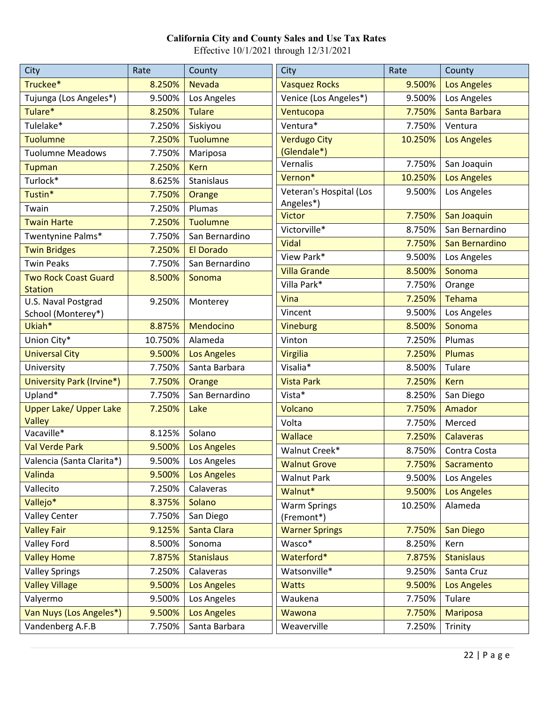| City                                 | Rate             | County             | City                                | Rate    | County                   |
|--------------------------------------|------------------|--------------------|-------------------------------------|---------|--------------------------|
| Truckee*                             | 8.250%           | <b>Nevada</b>      | <b>Vasquez Rocks</b>                | 9.500%  | <b>Los Angeles</b>       |
| Tujunga (Los Angeles*)               | 9.500%           | Los Angeles        | Venice (Los Angeles*)               | 9.500%  | Los Angeles              |
| Tulare*                              | 8.250%           | <b>Tulare</b>      | Ventucopa                           | 7.750%  | Santa Barbara            |
| Tulelake*                            | 7.250%           | Siskiyou           | Ventura*                            | 7.750%  | Ventura                  |
| <b>Tuolumne</b>                      | 7.250%           | <b>Tuolumne</b>    | <b>Verdugo City</b>                 | 10.250% | <b>Los Angeles</b>       |
| <b>Tuolumne Meadows</b>              | 7.750%           | Mariposa           | (Glendale*)                         |         |                          |
| <b>Tupman</b>                        | 7.250%           | <b>Kern</b>        | Vernalis                            | 7.750%  | San Joaquin              |
| Turlock*                             | 8.625%           | Stanislaus         | Vernon*                             | 10.250% | <b>Los Angeles</b>       |
| Tustin*                              | 7.750%           | Orange             | Veteran's Hospital (Los             | 9.500%  | Los Angeles              |
| Twain                                | 7.250%           | Plumas             | Angeles*)<br>Victor                 | 7.750%  | San Joaquin              |
| <b>Twain Harte</b>                   | 7.250%           | <b>Tuolumne</b>    | Victorville*                        | 8.750%  | San Bernardino           |
| Twentynine Palms*                    | 7.750%           | San Bernardino     | <b>Vidal</b>                        | 7.750%  | San Bernardino           |
| <b>Twin Bridges</b>                  | 7.250%           | <b>El Dorado</b>   | View Park*                          | 9.500%  |                          |
| <b>Twin Peaks</b>                    | 7.750%           | San Bernardino     | <b>Villa Grande</b>                 | 8.500%  | Los Angeles<br>Sonoma    |
| <b>Two Rock Coast Guard</b>          | 8.500%           | Sonoma             | Villa Park*                         |         |                          |
| <b>Station</b>                       |                  |                    |                                     | 7.750%  | Orange                   |
| U.S. Naval Postgrad                  | 9.250%           | Monterey           | Vina                                | 7.250%  | <b>Tehama</b>            |
| School (Monterey*)                   |                  |                    | Vincent                             | 9.500%  | Los Angeles              |
| Ukiah*                               | 8.875%           | Mendocino          | Vineburg                            | 8.500%  | Sonoma                   |
| Union City*                          | 10.750%          | Alameda            | Vinton                              | 7.250%  | Plumas                   |
| <b>Universal City</b>                | 9.500%           | <b>Los Angeles</b> | <b>Virgilia</b>                     | 7.250%  | <b>Plumas</b>            |
| University                           | 7.750%           | Santa Barbara      | Visalia*                            | 8.500%  | Tulare                   |
| University Park (Irvine*)            | 7.750%           | Orange             | <b>Vista Park</b>                   | 7.250%  | <b>Kern</b>              |
| Upland*                              | 7.750%           | San Bernardino     | Vista*                              | 8.250%  | San Diego                |
| <b>Upper Lake/ Upper Lake</b>        | 7.250%           | Lake               | Volcano                             | 7.750%  | Amador                   |
| Valley<br>Vacaville*                 | 8.125%           | Solano             | Volta                               | 7.750%  | Merced                   |
| <b>Val Verde Park</b>                | 9.500%           | <b>Los Angeles</b> | <b>Wallace</b>                      | 7.250%  | <b>Calaveras</b>         |
|                                      | 9.500%           | Los Angeles        | Walnut Creek*                       | 8.750%  | Contra Costa             |
| Valencia (Santa Clarita*)<br>Valinda | 9.500%           | <b>Los Angeles</b> | <b>Walnut Grove</b>                 |         | 7.750%   Sacramento      |
| Vallecito                            | 7.250%           | Calaveras          | <b>Walnut Park</b>                  | 9.500%  | Los Angeles              |
| Vallejo*                             | 8.375%           | Solano             | Walnut*                             | 9.500%  | <b>Los Angeles</b>       |
| <b>Valley Center</b>                 | 7.750%           | San Diego          | <b>Warm Springs</b>                 | 10.250% | Alameda                  |
| <b>Valley Fair</b>                   |                  | Santa Clara        | (Fremont*)<br><b>Warner Springs</b> | 7.750%  |                          |
|                                      | 9.125%<br>8.500% | Sonoma             | Wasco*                              | 8.250%  | <b>San Diego</b><br>Kern |
| <b>Valley Ford</b>                   |                  |                    | Waterford*                          |         | <b>Stanislaus</b>        |
| <b>Valley Home</b>                   | 7.875%           | <b>Stanislaus</b>  |                                     | 7.875%  |                          |
| <b>Valley Springs</b>                | 7.250%           | Calaveras          | Watsonville*                        | 9.250%  | Santa Cruz               |
| <b>Valley Village</b>                | 9.500%           | <b>Los Angeles</b> | <b>Watts</b>                        | 9.500%  | <b>Los Angeles</b>       |
| Valyermo                             | 9.500%           | Los Angeles        | Waukena                             | 7.750%  | Tulare                   |
| Van Nuys (Los Angeles*)              | 9.500%           | <b>Los Angeles</b> | Wawona                              | 7.750%  | <b>Mariposa</b>          |
| Vandenberg A.F.B                     | 7.750%           | Santa Barbara      | Weaverville                         | 7.250%  | Trinity                  |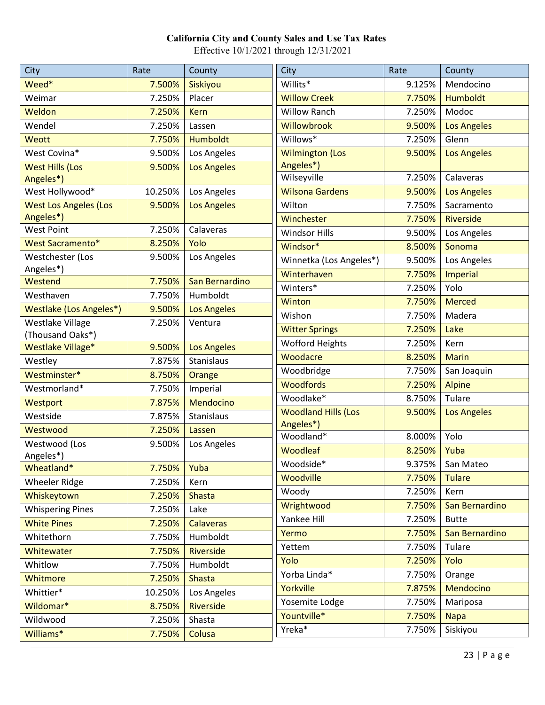| City                           | Rate    | County             | City                       | Rate   | County             |
|--------------------------------|---------|--------------------|----------------------------|--------|--------------------|
| Weed*                          | 7.500%  | Siskiyou           | Willits*                   | 9.125% | Mendocino          |
| Weimar                         | 7.250%  | Placer             | <b>Willow Creek</b>        | 7.750% | <b>Humboldt</b>    |
| Weldon                         | 7.250%  | <b>Kern</b>        | <b>Willow Ranch</b>        | 7.250% | Modoc              |
| Wendel                         | 7.250%  | Lassen             | Willowbrook                | 9.500% | <b>Los Angeles</b> |
| Weott                          | 7.750%  | Humboldt           | Willows*                   | 7.250% | Glenn              |
| West Covina*                   | 9.500%  | Los Angeles        | <b>Wilmington (Los</b>     | 9.500% | <b>Los Angeles</b> |
| <b>West Hills (Los</b>         | 9.500%  | <b>Los Angeles</b> | Angeles*)                  |        |                    |
| Angeles*)                      |         |                    | Wilseyville                | 7.250% | Calaveras          |
| West Hollywood*                | 10.250% | Los Angeles        | <b>Wilsona Gardens</b>     | 9.500% | <b>Los Angeles</b> |
| <b>West Los Angeles (Los</b>   | 9.500%  | <b>Los Angeles</b> | Wilton                     | 7.750% | Sacramento         |
| Angeles*)                      |         |                    | Winchester                 | 7.750% | Riverside          |
| West Point                     | 7.250%  | Calaveras          | <b>Windsor Hills</b>       | 9.500% | Los Angeles        |
| <b>West Sacramento*</b>        | 8.250%  | Yolo               | Windsor*                   | 8.500% | Sonoma             |
| Westchester (Los               | 9.500%  | Los Angeles        | Winnetka (Los Angeles*)    | 9.500% | Los Angeles        |
| Angeles*)<br>Westend           | 7.750%  | San Bernardino     | Winterhaven                | 7.750% | Imperial           |
| Westhaven                      | 7.750%  | Humboldt           | Winters*                   | 7.250% | Yolo               |
| <b>Westlake (Los Angeles*)</b> | 9.500%  | <b>Los Angeles</b> | Winton                     | 7.750% | <b>Merced</b>      |
| Westlake Village               | 7.250%  | Ventura            | Wishon                     | 7.750% | Madera             |
| (Thousand Oaks*)               |         |                    | <b>Witter Springs</b>      | 7.250% | Lake               |
| Westlake Village*              | 9.500%  | <b>Los Angeles</b> | <b>Wofford Heights</b>     | 7.250% | Kern               |
| Westley                        | 7.875%  | <b>Stanislaus</b>  | Woodacre                   | 8.250% | <b>Marin</b>       |
| Westminster*                   | 8.750%  | Orange             | Woodbridge                 | 7.750% | San Joaquin        |
| Westmorland*                   | 7.750%  | Imperial           | <b>Woodfords</b>           | 7.250% | <b>Alpine</b>      |
| Westport                       | 7.875%  | Mendocino          | Woodlake*                  | 8.750% | Tulare             |
| Westside                       | 7.875%  | Stanislaus         | <b>Woodland Hills (Los</b> | 9.500% | <b>Los Angeles</b> |
| Westwood                       | 7.250%  | Lassen             | Angeles*)                  |        |                    |
| Westwood (Los                  | 9.500%  | Los Angeles        | Woodland*                  | 8.000% | Yolo               |
| Angeles*)                      |         |                    | <b>Woodleaf</b>            | 8.250% | Yuba               |
| Wheatland*                     | 7.750%  | Yuba               | Woodside*                  |        | 9.375%   San Mateo |
| <b>Wheeler Ridge</b>           | 7.250%  | Kern               | <b>Woodville</b>           | 7.750% | <b>Tulare</b>      |
| Whiskeytown                    | 7.250%  | <b>Shasta</b>      | Woody                      | 7.250% | Kern               |
| <b>Whispering Pines</b>        | 7.250%  | Lake               | Wrightwood                 | 7.750% | San Bernardino     |
| <b>White Pines</b>             | 7.250%  | <b>Calaveras</b>   | Yankee Hill                | 7.250% | <b>Butte</b>       |
| Whitethorn                     | 7.750%  | Humboldt           | Yermo                      | 7.750% | San Bernardino     |
| Whitewater                     | 7.750%  | Riverside          | Yettem                     | 7.750% | Tulare             |
| Whitlow                        | 7.750%  | Humboldt           | Yolo                       | 7.250% | Yolo               |
| Whitmore                       | 7.250%  | <b>Shasta</b>      | Yorba Linda*               | 7.750% | Orange             |
| Whittier*                      | 10.250% | Los Angeles        | Yorkville                  | 7.875% | Mendocino          |
| Wildomar*                      | 8.750%  | Riverside          | Yosemite Lodge             | 7.750% | Mariposa           |
| Wildwood                       | 7.250%  | Shasta             | Yountville*                | 7.750% | <b>Napa</b>        |
| Williams*                      | 7.750%  | Colusa             | Yreka*                     | 7.750% | Siskiyou           |